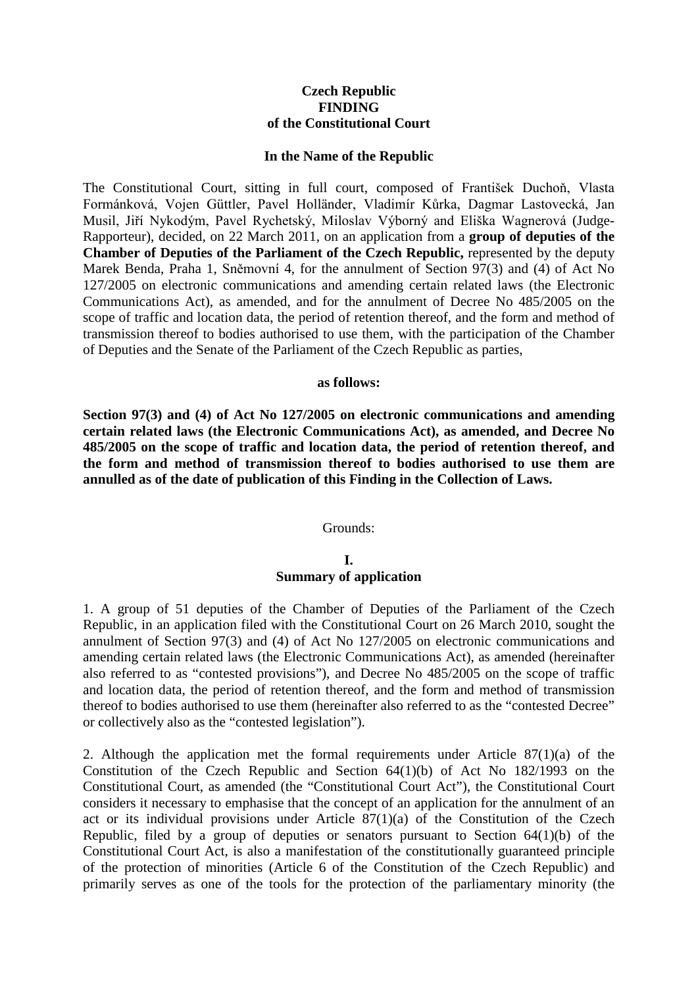# **Czech Republic FINDING of the Constitutional Court**

### **In the Name of the Republic**

The Constitutional Court, sitting in full court, composed of František Duchoň, Vlasta Formánková, Vojen Güttler, Pavel Holländer, Vladimír Kůrka, Dagmar Lastovecká, Jan Musil, Jiří Nykodým, Pavel Rychetský, Miloslav Výborný and Eliška Wagnerová (Judge-Rapporteur), decided, on 22 March 2011, on an application from a **group of deputies of the Chamber of Deputies of the Parliament of the Czech Republic,** represented by the deputy Marek Benda, Praha 1, Sněmovní 4, for the annulment of Section 97(3) and (4) of Act No 127/2005 on electronic communications and amending certain related laws (the Electronic Communications Act), as amended, and for the annulment of Decree No 485/2005 on the scope of traffic and location data, the period of retention thereof, and the form and method of transmission thereof to bodies authorised to use them, with the participation of the Chamber of Deputies and the Senate of the Parliament of the Czech Republic as parties,

### **as follows:**

**Section 97(3) and (4) of Act No 127/2005 on electronic communications and amending certain related laws (the Electronic Communications Act), as amended, and Decree No 485/2005 on the scope of traffic and location data, the period of retention thereof, and the form and method of transmission thereof to bodies authorised to use them are annulled as of the date of publication of this Finding in the Collection of Laws.** 

## Grounds:

## **I. Summary of application**

1. A group of 51 deputies of the Chamber of Deputies of the Parliament of the Czech Republic, in an application filed with the Constitutional Court on 26 March 2010, sought the annulment of Section 97(3) and (4) of Act No 127/2005 on electronic communications and amending certain related laws (the Electronic Communications Act), as amended (hereinafter also referred to as "contested provisions"), and Decree No 485/2005 on the scope of traffic and location data, the period of retention thereof, and the form and method of transmission thereof to bodies authorised to use them (hereinafter also referred to as the "contested Decree" or collectively also as the "contested legislation").

2. Although the application met the formal requirements under Article  $87(1)(a)$  of the Constitution of the Czech Republic and Section 64(1)(b) of Act No 182/1993 on the Constitutional Court, as amended (the "Constitutional Court Act"), the Constitutional Court considers it necessary to emphasise that the concept of an application for the annulment of an act or its individual provisions under Article  $87(1)(a)$  of the Constitution of the Czech Republic, filed by a group of deputies or senators pursuant to Section 64(1)(b) of the Constitutional Court Act, is also a manifestation of the constitutionally guaranteed principle of the protection of minorities (Article 6 of the Constitution of the Czech Republic) and primarily serves as one of the tools for the protection of the parliamentary minority (the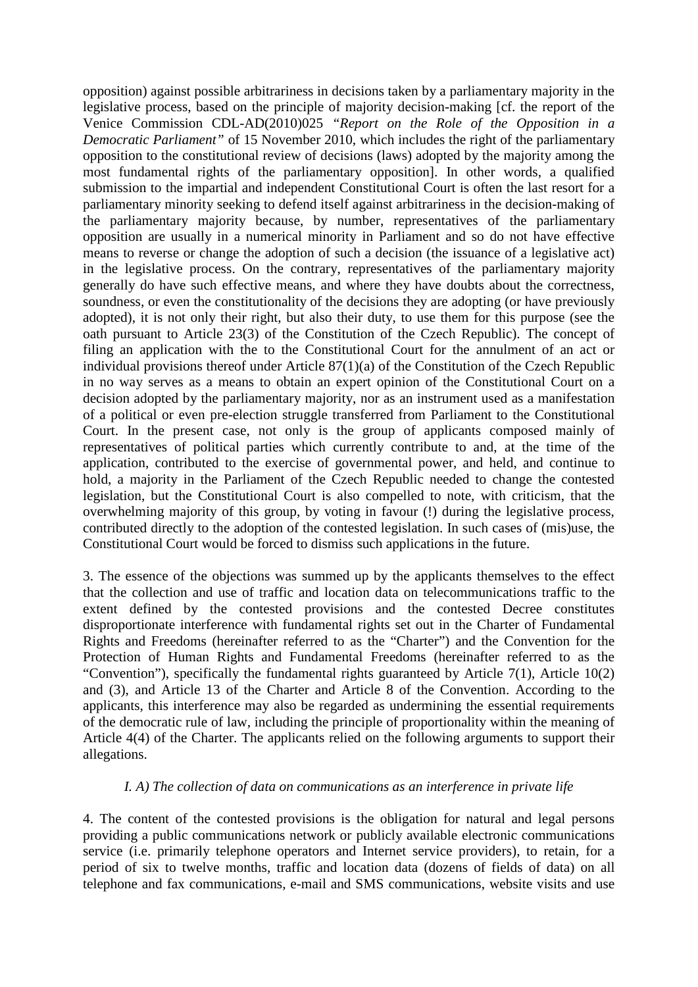opposition) against possible arbitrariness in decisions taken by a parliamentary majority in the legislative process, based on the principle of majority decision-making [cf. the report of the Venice Commission CDL-AD(2010)025 *"Report on the Role of the Opposition in a Democratic Parliament"* of 15 November 2010, which includes the right of the parliamentary opposition to the constitutional review of decisions (laws) adopted by the majority among the most fundamental rights of the parliamentary opposition]. In other words, a qualified submission to the impartial and independent Constitutional Court is often the last resort for a parliamentary minority seeking to defend itself against arbitrariness in the decision-making of the parliamentary majority because, by number, representatives of the parliamentary opposition are usually in a numerical minority in Parliament and so do not have effective means to reverse or change the adoption of such a decision (the issuance of a legislative act) in the legislative process. On the contrary, representatives of the parliamentary majority generally do have such effective means, and where they have doubts about the correctness, soundness, or even the constitutionality of the decisions they are adopting (or have previously adopted), it is not only their right, but also their duty, to use them for this purpose (see the oath pursuant to Article 23(3) of the Constitution of the Czech Republic). The concept of filing an application with the to the Constitutional Court for the annulment of an act or individual provisions thereof under Article  $87(1)(a)$  of the Constitution of the Czech Republic in no way serves as a means to obtain an expert opinion of the Constitutional Court on a decision adopted by the parliamentary majority, nor as an instrument used as a manifestation of a political or even pre-election struggle transferred from Parliament to the Constitutional Court. In the present case, not only is the group of applicants composed mainly of representatives of political parties which currently contribute to and, at the time of the application, contributed to the exercise of governmental power, and held, and continue to hold, a majority in the Parliament of the Czech Republic needed to change the contested legislation, but the Constitutional Court is also compelled to note, with criticism, that the overwhelming majority of this group, by voting in favour (!) during the legislative process, contributed directly to the adoption of the contested legislation. In such cases of (mis)use, the Constitutional Court would be forced to dismiss such applications in the future.

3. The essence of the objections was summed up by the applicants themselves to the effect that the collection and use of traffic and location data on telecommunications traffic to the extent defined by the contested provisions and the contested Decree constitutes disproportionate interference with fundamental rights set out in the Charter of Fundamental Rights and Freedoms (hereinafter referred to as the "Charter") and the Convention for the Protection of Human Rights and Fundamental Freedoms (hereinafter referred to as the "Convention"), specifically the fundamental rights guaranteed by Article 7(1), Article 10(2) and (3), and Article 13 of the Charter and Article 8 of the Convention. According to the applicants, this interference may also be regarded as undermining the essential requirements of the democratic rule of law, including the principle of proportionality within the meaning of Article 4(4) of the Charter. The applicants relied on the following arguments to support their allegations.

## *I. A) The collection of data on communications as an interference in private life*

4. The content of the contested provisions is the obligation for natural and legal persons providing a public communications network or publicly available electronic communications service (i.e. primarily telephone operators and Internet service providers), to retain, for a period of six to twelve months, traffic and location data (dozens of fields of data) on all telephone and fax communications, e-mail and SMS communications, website visits and use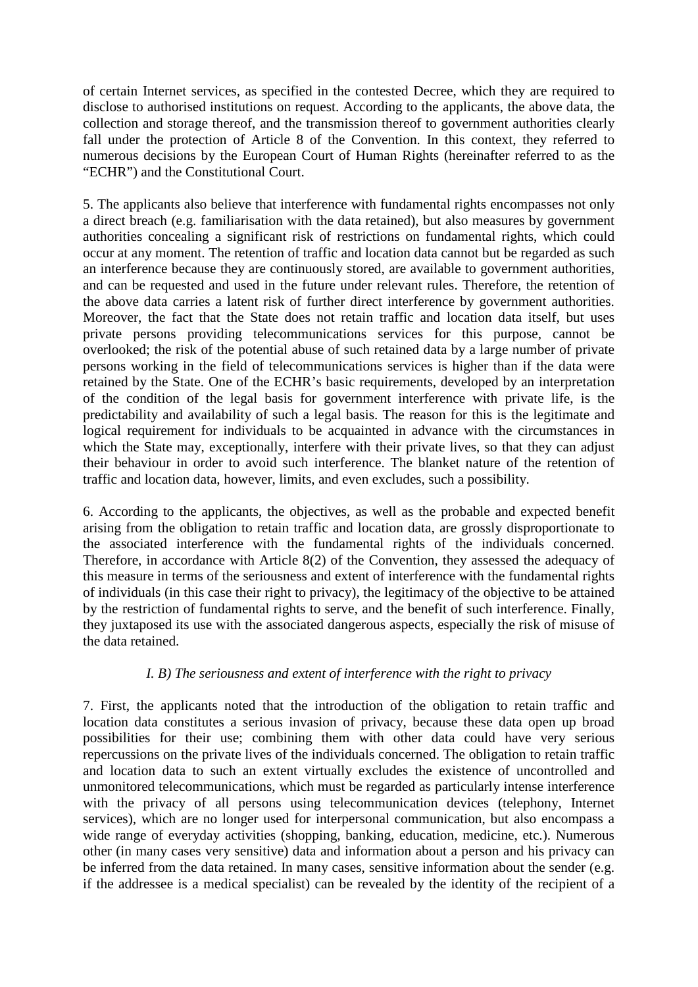of certain Internet services, as specified in the contested Decree, which they are required to disclose to authorised institutions on request. According to the applicants, the above data, the collection and storage thereof, and the transmission thereof to government authorities clearly fall under the protection of Article 8 of the Convention. In this context, they referred to numerous decisions by the European Court of Human Rights (hereinafter referred to as the "ECHR") and the Constitutional Court.

5. The applicants also believe that interference with fundamental rights encompasses not only a direct breach (e.g. familiarisation with the data retained), but also measures by government authorities concealing a significant risk of restrictions on fundamental rights, which could occur at any moment. The retention of traffic and location data cannot but be regarded as such an interference because they are continuously stored, are available to government authorities, and can be requested and used in the future under relevant rules. Therefore, the retention of the above data carries a latent risk of further direct interference by government authorities. Moreover, the fact that the State does not retain traffic and location data itself, but uses private persons providing telecommunications services for this purpose, cannot be overlooked; the risk of the potential abuse of such retained data by a large number of private persons working in the field of telecommunications services is higher than if the data were retained by the State. One of the ECHR's basic requirements, developed by an interpretation of the condition of the legal basis for government interference with private life, is the predictability and availability of such a legal basis. The reason for this is the legitimate and logical requirement for individuals to be acquainted in advance with the circumstances in which the State may, exceptionally, interfere with their private lives, so that they can adjust their behaviour in order to avoid such interference. The blanket nature of the retention of traffic and location data, however, limits, and even excludes, such a possibility.

6. According to the applicants, the objectives, as well as the probable and expected benefit arising from the obligation to retain traffic and location data, are grossly disproportionate to the associated interference with the fundamental rights of the individuals concerned. Therefore, in accordance with Article 8(2) of the Convention, they assessed the adequacy of this measure in terms of the seriousness and extent of interference with the fundamental rights of individuals (in this case their right to privacy), the legitimacy of the objective to be attained by the restriction of fundamental rights to serve, and the benefit of such interference. Finally, they juxtaposed its use with the associated dangerous aspects, especially the risk of misuse of the data retained.

# *I. B) The seriousness and extent of interference with the right to privacy*

7. First, the applicants noted that the introduction of the obligation to retain traffic and location data constitutes a serious invasion of privacy, because these data open up broad possibilities for their use; combining them with other data could have very serious repercussions on the private lives of the individuals concerned. The obligation to retain traffic and location data to such an extent virtually excludes the existence of uncontrolled and unmonitored telecommunications, which must be regarded as particularly intense interference with the privacy of all persons using telecommunication devices (telephony, Internet services), which are no longer used for interpersonal communication, but also encompass a wide range of everyday activities (shopping, banking, education, medicine, etc.). Numerous other (in many cases very sensitive) data and information about a person and his privacy can be inferred from the data retained. In many cases, sensitive information about the sender (e.g. if the addressee is a medical specialist) can be revealed by the identity of the recipient of a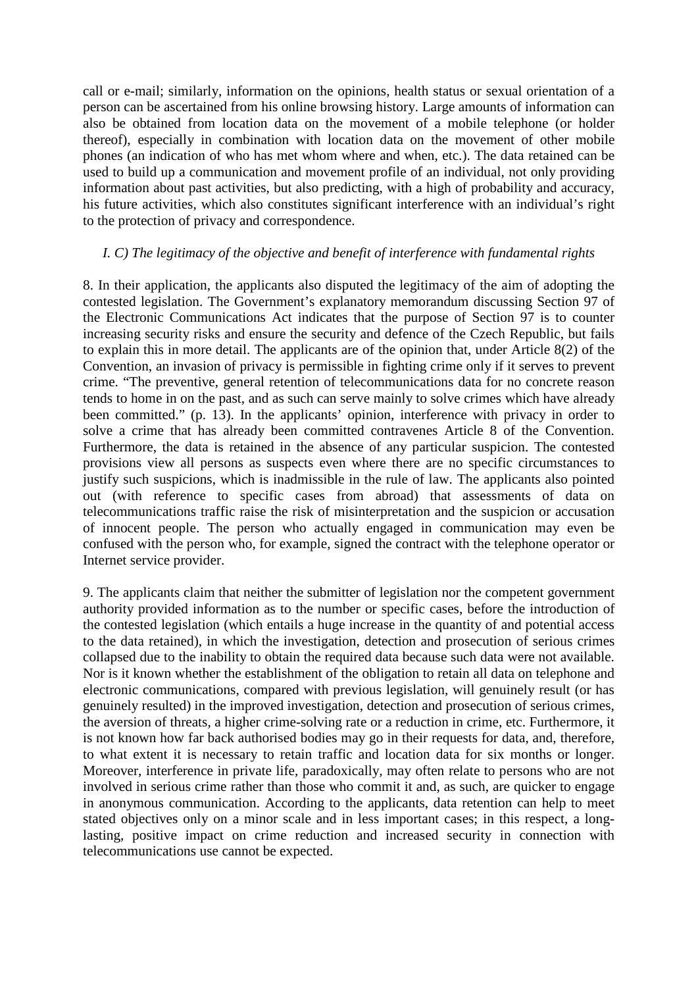call or e-mail; similarly, information on the opinions, health status or sexual orientation of a person can be ascertained from his online browsing history. Large amounts of information can also be obtained from location data on the movement of a mobile telephone (or holder thereof), especially in combination with location data on the movement of other mobile phones (an indication of who has met whom where and when, etc.). The data retained can be used to build up a communication and movement profile of an individual, not only providing information about past activities, but also predicting, with a high of probability and accuracy, his future activities, which also constitutes significant interference with an individual's right to the protection of privacy and correspondence.

# *I. C) The legitimacy of the objective and benefit of interference with fundamental rights*

8. In their application, the applicants also disputed the legitimacy of the aim of adopting the contested legislation. The Government's explanatory memorandum discussing Section 97 of the Electronic Communications Act indicates that the purpose of Section 97 is to counter increasing security risks and ensure the security and defence of the Czech Republic, but fails to explain this in more detail. The applicants are of the opinion that, under Article 8(2) of the Convention, an invasion of privacy is permissible in fighting crime only if it serves to prevent crime. "The preventive, general retention of telecommunications data for no concrete reason tends to home in on the past, and as such can serve mainly to solve crimes which have already been committed." (p. 13). In the applicants' opinion, interference with privacy in order to solve a crime that has already been committed contravenes Article 8 of the Convention. Furthermore, the data is retained in the absence of any particular suspicion. The contested provisions view all persons as suspects even where there are no specific circumstances to justify such suspicions, which is inadmissible in the rule of law. The applicants also pointed out (with reference to specific cases from abroad) that assessments of data on telecommunications traffic raise the risk of misinterpretation and the suspicion or accusation of innocent people. The person who actually engaged in communication may even be confused with the person who, for example, signed the contract with the telephone operator or Internet service provider.

9. The applicants claim that neither the submitter of legislation nor the competent government authority provided information as to the number or specific cases, before the introduction of the contested legislation (which entails a huge increase in the quantity of and potential access to the data retained), in which the investigation, detection and prosecution of serious crimes collapsed due to the inability to obtain the required data because such data were not available. Nor is it known whether the establishment of the obligation to retain all data on telephone and electronic communications, compared with previous legislation, will genuinely result (or has genuinely resulted) in the improved investigation, detection and prosecution of serious crimes, the aversion of threats, a higher crime-solving rate or a reduction in crime, etc. Furthermore, it is not known how far back authorised bodies may go in their requests for data, and, therefore, to what extent it is necessary to retain traffic and location data for six months or longer. Moreover, interference in private life, paradoxically, may often relate to persons who are not involved in serious crime rather than those who commit it and, as such, are quicker to engage in anonymous communication. According to the applicants, data retention can help to meet stated objectives only on a minor scale and in less important cases; in this respect, a longlasting, positive impact on crime reduction and increased security in connection with telecommunications use cannot be expected.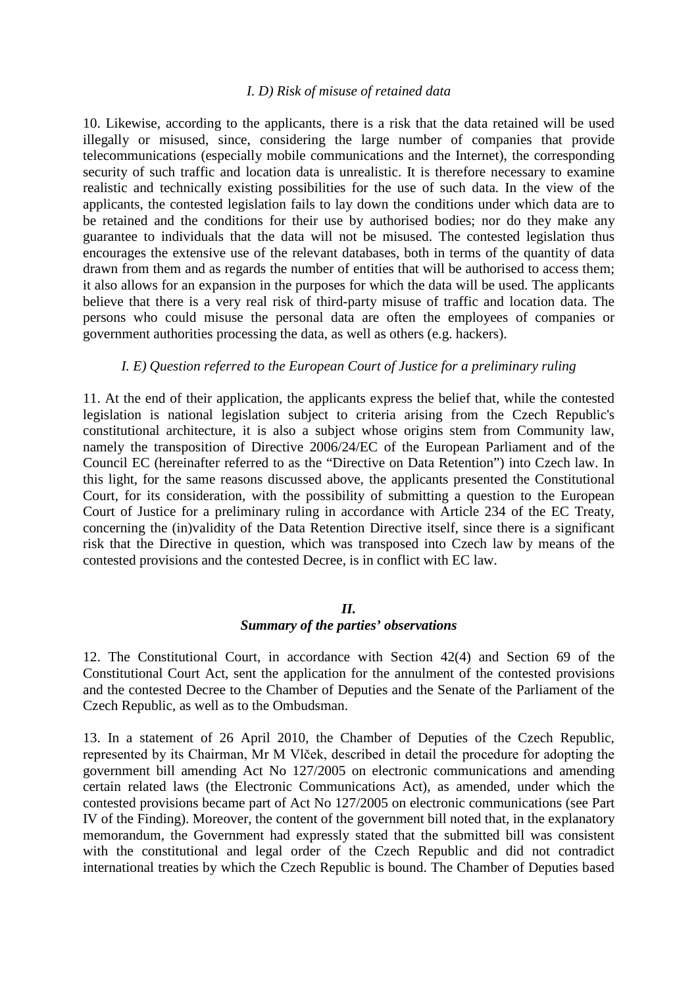## *I. D) Risk of misuse of retained data*

10. Likewise, according to the applicants, there is a risk that the data retained will be used illegally or misused, since, considering the large number of companies that provide telecommunications (especially mobile communications and the Internet), the corresponding security of such traffic and location data is unrealistic. It is therefore necessary to examine realistic and technically existing possibilities for the use of such data. In the view of the applicants, the contested legislation fails to lay down the conditions under which data are to be retained and the conditions for their use by authorised bodies; nor do they make any guarantee to individuals that the data will not be misused. The contested legislation thus encourages the extensive use of the relevant databases, both in terms of the quantity of data drawn from them and as regards the number of entities that will be authorised to access them; it also allows for an expansion in the purposes for which the data will be used. The applicants believe that there is a very real risk of third-party misuse of traffic and location data. The persons who could misuse the personal data are often the employees of companies or government authorities processing the data, as well as others (e.g. hackers).

## *I. E) Question referred to the European Court of Justice for a preliminary ruling*

11. At the end of their application, the applicants express the belief that, while the contested legislation is national legislation subject to criteria arising from the Czech Republic's constitutional architecture, it is also a subject whose origins stem from Community law, namely the transposition of Directive 2006/24/EC of the European Parliament and of the Council EC (hereinafter referred to as the "Directive on Data Retention") into Czech law. In this light, for the same reasons discussed above, the applicants presented the Constitutional Court, for its consideration, with the possibility of submitting a question to the European Court of Justice for a preliminary ruling in accordance with Article 234 of the EC Treaty, concerning the (in)validity of the Data Retention Directive itself, since there is a significant risk that the Directive in question, which was transposed into Czech law by means of the contested provisions and the contested Decree, is in conflict with EC law.

## *II.*

## *Summary of the parties' observations*

12. The Constitutional Court, in accordance with Section 42(4) and Section 69 of the Constitutional Court Act, sent the application for the annulment of the contested provisions and the contested Decree to the Chamber of Deputies and the Senate of the Parliament of the Czech Republic, as well as to the Ombudsman.

13. In a statement of 26 April 2010, the Chamber of Deputies of the Czech Republic, represented by its Chairman, Mr M Vlček, described in detail the procedure for adopting the government bill amending Act No 127/2005 on electronic communications and amending certain related laws (the Electronic Communications Act), as amended, under which the contested provisions became part of Act No 127/2005 on electronic communications (see Part IV of the Finding). Moreover, the content of the government bill noted that, in the explanatory memorandum, the Government had expressly stated that the submitted bill was consistent with the constitutional and legal order of the Czech Republic and did not contradict international treaties by which the Czech Republic is bound. The Chamber of Deputies based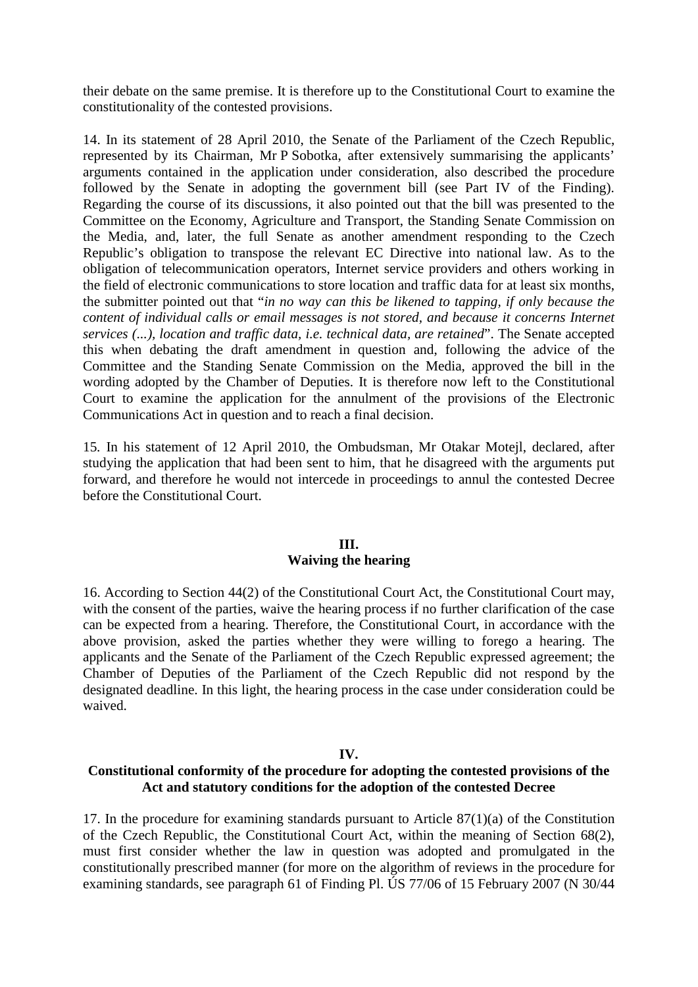their debate on the same premise. It is therefore up to the Constitutional Court to examine the constitutionality of the contested provisions.

14. In its statement of 28 April 2010, the Senate of the Parliament of the Czech Republic, represented by its Chairman, Mr P Sobotka, after extensively summarising the applicants' arguments contained in the application under consideration, also described the procedure followed by the Senate in adopting the government bill (see Part IV of the Finding). Regarding the course of its discussions, it also pointed out that the bill was presented to the Committee on the Economy, Agriculture and Transport, the Standing Senate Commission on the Media, and, later, the full Senate as another amendment responding to the Czech Republic's obligation to transpose the relevant EC Directive into national law. As to the obligation of telecommunication operators, Internet service providers and others working in the field of electronic communications to store location and traffic data for at least six months, the submitter pointed out that "*in no way can this be likened to tapping, if only because the content of individual calls or email messages is not stored, and because it concerns Internet services (...), location and traffic data, i.e. technical data, are retained*". The Senate accepted this when debating the draft amendment in question and, following the advice of the Committee and the Standing Senate Commission on the Media, approved the bill in the wording adopted by the Chamber of Deputies. It is therefore now left to the Constitutional Court to examine the application for the annulment of the provisions of the Electronic Communications Act in question and to reach a final decision.

15*.* In his statement of 12 April 2010, the Ombudsman, Mr Otakar Motejl, declared, after studying the application that had been sent to him, that he disagreed with the arguments put forward, and therefore he would not intercede in proceedings to annul the contested Decree before the Constitutional Court.

## **III. Waiving the hearing**

16. According to Section 44(2) of the Constitutional Court Act, the Constitutional Court may, with the consent of the parties, waive the hearing process if no further clarification of the case can be expected from a hearing. Therefore, the Constitutional Court, in accordance with the above provision, asked the parties whether they were willing to forego a hearing. The applicants and the Senate of the Parliament of the Czech Republic expressed agreement; the Chamber of Deputies of the Parliament of the Czech Republic did not respond by the designated deadline. In this light, the hearing process in the case under consideration could be waived.

## **IV.**

# **Constitutional conformity of the procedure for adopting the contested provisions of the Act and statutory conditions for the adoption of the contested Decree**

17. In the procedure for examining standards pursuant to Article 87(1)(a) of the Constitution of the Czech Republic, the Constitutional Court Act, within the meaning of Section 68(2), must first consider whether the law in question was adopted and promulgated in the constitutionally prescribed manner (for more on the algorithm of reviews in the procedure for examining standards, see paragraph 61 of Finding Pl. ÚS 77/06 of 15 February 2007 (N 30/44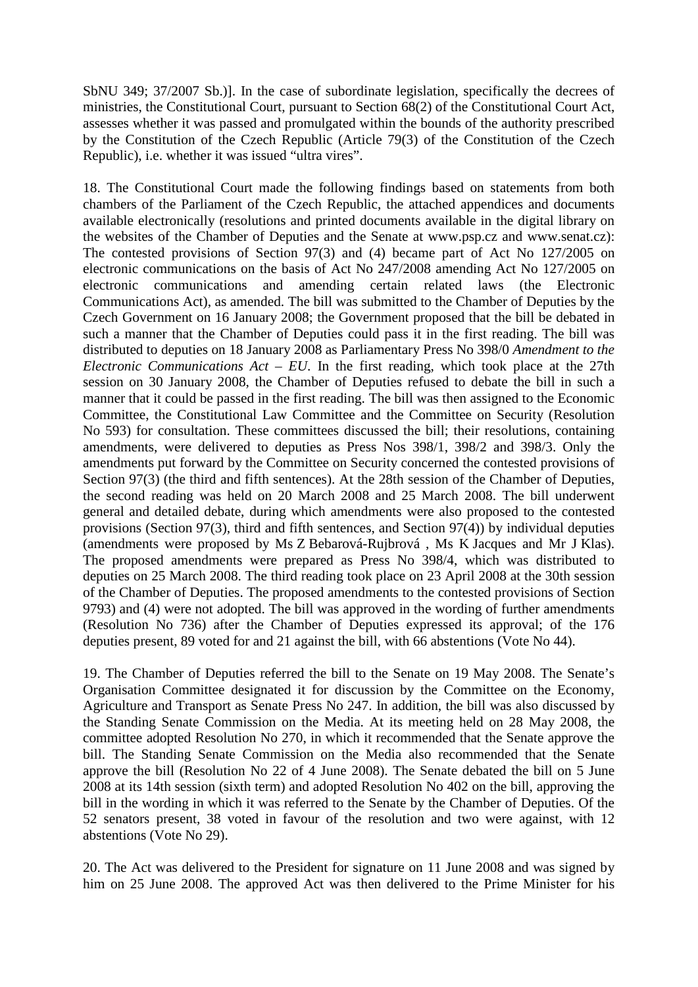SbNU 349; 37/2007 Sb.)]. In the case of subordinate legislation, specifically the decrees of ministries, the Constitutional Court, pursuant to Section 68(2) of the Constitutional Court Act, assesses whether it was passed and promulgated within the bounds of the authority prescribed by the Constitution of the Czech Republic (Article 79(3) of the Constitution of the Czech Republic), i.e. whether it was issued "ultra vires".

18. The Constitutional Court made the following findings based on statements from both chambers of the Parliament of the Czech Republic, the attached appendices and documents available electronically (resolutions and printed documents available in the digital library on the websites of the Chamber of Deputies and the Senate at www.psp.cz and www.senat.cz): The contested provisions of Section 97(3) and (4) became part of Act No 127/2005 on electronic communications on the basis of Act No 247/2008 amending Act No 127/2005 on electronic communications and amending certain related laws (the Electronic Communications Act), as amended. The bill was submitted to the Chamber of Deputies by the Czech Government on 16 January 2008; the Government proposed that the bill be debated in such a manner that the Chamber of Deputies could pass it in the first reading. The bill was distributed to deputies on 18 January 2008 as Parliamentary Press No 398/0 *Amendment to the Electronic Communications Act – EU*. In the first reading, which took place at the 27th session on 30 January 2008, the Chamber of Deputies refused to debate the bill in such a manner that it could be passed in the first reading. The bill was then assigned to the Economic Committee, the Constitutional Law Committee and the Committee on Security (Resolution No 593) for consultation. These committees discussed the bill; their resolutions, containing amendments, were delivered to deputies as Press Nos 398/1, 398/2 and 398/3. Only the amendments put forward by the Committee on Security concerned the contested provisions of Section 97(3) (the third and fifth sentences). At the 28th session of the Chamber of Deputies, the second reading was held on 20 March 2008 and 25 March 2008. The bill underwent general and detailed debate, during which amendments were also proposed to the contested provisions (Section 97(3), third and fifth sentences, and Section 97(4)) by individual deputies (amendments were proposed by Ms Z Bebarová-Rujbrová , Ms K Jacques and Mr J Klas). The proposed amendments were prepared as Press No 398/4, which was distributed to deputies on 25 March 2008. The third reading took place on 23 April 2008 at the 30th session of the Chamber of Deputies. The proposed amendments to the contested provisions of Section 9793) and (4) were not adopted. The bill was approved in the wording of further amendments (Resolution No 736) after the Chamber of Deputies expressed its approval; of the 176 deputies present, 89 voted for and 21 against the bill, with 66 abstentions (Vote No 44).

19. The Chamber of Deputies referred the bill to the Senate on 19 May 2008. The Senate's Organisation Committee designated it for discussion by the Committee on the Economy, Agriculture and Transport as Senate Press No 247. In addition, the bill was also discussed by the Standing Senate Commission on the Media. At its meeting held on 28 May 2008, the committee adopted Resolution No 270, in which it recommended that the Senate approve the bill. The Standing Senate Commission on the Media also recommended that the Senate approve the bill (Resolution No 22 of 4 June 2008). The Senate debated the bill on 5 June 2008 at its 14th session (sixth term) and adopted Resolution No 402 on the bill, approving the bill in the wording in which it was referred to the Senate by the Chamber of Deputies. Of the 52 senators present, 38 voted in favour of the resolution and two were against, with 12 abstentions (Vote No 29).

20. The Act was delivered to the President for signature on 11 June 2008 and was signed by him on 25 June 2008. The approved Act was then delivered to the Prime Minister for his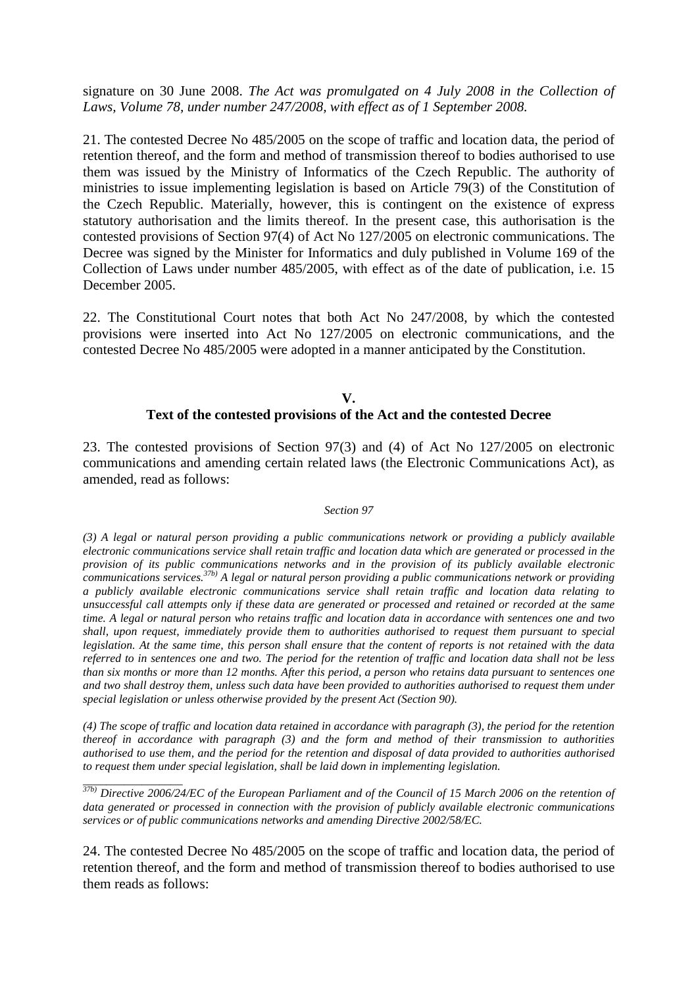signature on 30 June 2008. *The Act was promulgated on 4 July 2008 in the Collection of Laws, Volume 78, under number 247/2008, with effect as of 1 September 2008.* 

21. The contested Decree No 485/2005 on the scope of traffic and location data, the period of retention thereof, and the form and method of transmission thereof to bodies authorised to use them was issued by the Ministry of Informatics of the Czech Republic. The authority of ministries to issue implementing legislation is based on Article 79(3) of the Constitution of the Czech Republic. Materially, however, this is contingent on the existence of express statutory authorisation and the limits thereof. In the present case, this authorisation is the contested provisions of Section 97(4) of Act No 127/2005 on electronic communications. The Decree was signed by the Minister for Informatics and duly published in Volume 169 of the Collection of Laws under number 485/2005, with effect as of the date of publication, i.e. 15 December 2005.

22. The Constitutional Court notes that both Act No 247/2008, by which the contested provisions were inserted into Act No 127/2005 on electronic communications, and the contested Decree No 485/2005 were adopted in a manner anticipated by the Constitution.

## **V. Text of the contested provisions of the Act and the contested Decree**

23. The contested provisions of Section 97(3) and (4) of Act No 127/2005 on electronic communications and amending certain related laws (the Electronic Communications Act), as amended, read as follows:

### *Section 97*

*(3) A legal or natural person providing a public communications network or providing a publicly available electronic communications service shall retain traffic and location data which are generated or processed in the provision of its public communications networks and in the provision of its publicly available electronic communications services.37b) A legal or natural person providing a public communications network or providing a publicly available electronic communications service shall retain traffic and location data relating to unsuccessful call attempts only if these data are generated or processed and retained or recorded at the same time. A legal or natural person who retains traffic and location data in accordance with sentences one and two shall, upon request, immediately provide them to authorities authorised to request them pursuant to special legislation. At the same time, this person shall ensure that the content of reports is not retained with the data referred to in sentences one and two. The period for the retention of traffic and location data shall not be less than six months or more than 12 months. After this period, a person who retains data pursuant to sentences one and two shall destroy them, unless such data have been provided to authorities authorised to request them under special legislation or unless otherwise provided by the present Act (Section 90).* 

*(4) The scope of traffic and location data retained in accordance with paragraph (3), the period for the retention thereof in accordance with paragraph (3) and the form and method of their transmission to authorities authorised to use them, and the period for the retention and disposal of data provided to authorities authorised to request them under special legislation, shall be laid down in implementing legislation.* 

*37b) Directive 2006/24/EC of the European Parliament and of the Council of 15 March 2006 on the retention of data generated or processed in connection with the provision of publicly available electronic communications services or of public communications networks and amending Directive 2002/58/EC.* 

*\_\_\_\_\_\_\_\_\_\_\_\_\_\_\_\_\_* 

24. The contested Decree No 485/2005 on the scope of traffic and location data, the period of retention thereof, and the form and method of transmission thereof to bodies authorised to use them reads as follows: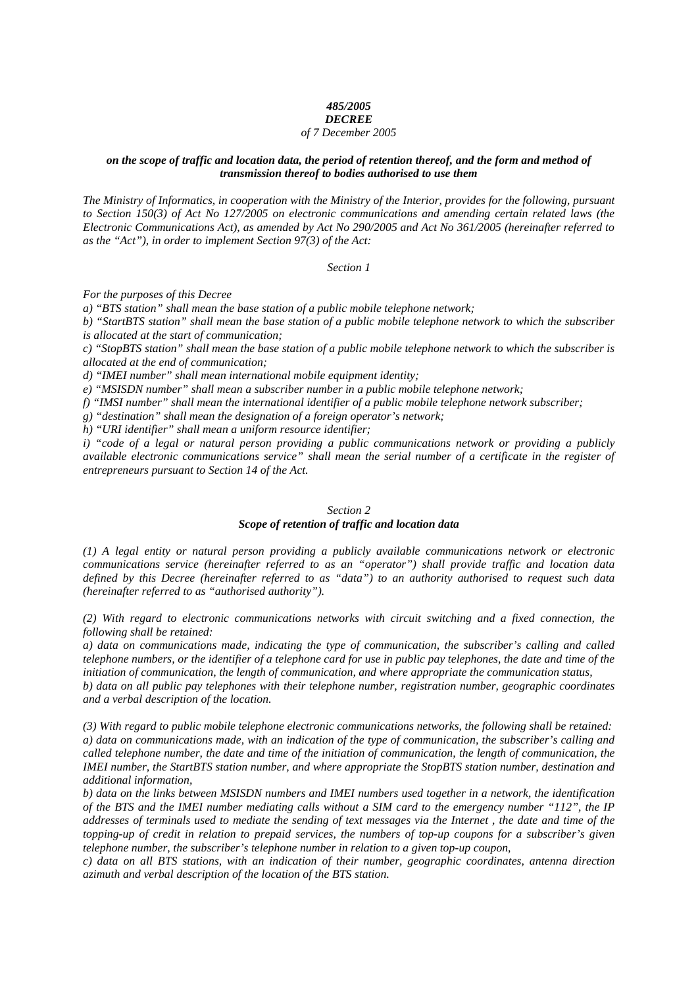### *485/2005*

#### *DECREE of 7 December 2005*

#### *on the scope of traffic and location data, the period of retention thereof, and the form and method of transmission thereof to bodies authorised to use them*

*The Ministry of Informatics, in cooperation with the Ministry of the Interior, provides for the following, pursuant to Section 150(3) of Act No 127/2005 on electronic communications and amending certain related laws (the Electronic Communications Act), as amended by Act No 290/2005 and Act No 361/2005 (hereinafter referred to as the "Act"), in order to implement Section 97(3) of the Act:* 

*Section 1*

*For the purposes of this Decree* 

*a) "BTS station" shall mean the base station of a public mobile telephone network;* 

*b) "StartBTS station" shall mean the base station of a public mobile telephone network to which the subscriber is allocated at the start of communication;* 

*c) "StopBTS station" shall mean the base station of a public mobile telephone network to which the subscriber is allocated at the end of communication;* 

*d) "IMEI number" shall mean international mobile equipment identity;* 

*e) "MSISDN number" shall mean a subscriber number in a public mobile telephone network;* 

*f) "IMSI number" shall mean the international identifier of a public mobile telephone network subscriber;* 

*g) "destination" shall mean the designation of a foreign operator's network;* 

*h) "URI identifier" shall mean a uniform resource identifier;* 

*i) "code of a legal or natural person providing a public communications network or providing a publicly available electronic communications service" shall mean the serial number of a certificate in the register of entrepreneurs pursuant to Section 14 of the Act.* 

#### *Section 2*

### *Scope of retention of traffic and location data*

*(1) A legal entity or natural person providing a publicly available communications network or electronic communications service (hereinafter referred to as an "operator") shall provide traffic and location data defined by this Decree (hereinafter referred to as "data") to an authority authorised to request such data (hereinafter referred to as "authorised authority").* 

*(2) With regard to electronic communications networks with circuit switching and a fixed connection, the following shall be retained:* 

*a) data on communications made, indicating the type of communication, the subscriber's calling and called telephone numbers, or the identifier of a telephone card for use in public pay telephones, the date and time of the initiation of communication, the length of communication, and where appropriate the communication status,* 

*b) data on all public pay telephones with their telephone number, registration number, geographic coordinates and a verbal description of the location.* 

*(3) With regard to public mobile telephone electronic communications networks, the following shall be retained: a) data on communications made, with an indication of the type of communication, the subscriber's calling and called telephone number, the date and time of the initiation of communication, the length of communication, the IMEI number, the StartBTS station number, and where appropriate the StopBTS station number, destination and additional information,* 

*b) data on the links between MSISDN numbers and IMEI numbers used together in a network, the identification of the BTS and the IMEI number mediating calls without a SIM card to the emergency number "112", the IP addresses of terminals used to mediate the sending of text messages via the Internet , the date and time of the topping-up of credit in relation to prepaid services, the numbers of top-up coupons for a subscriber's given telephone number, the subscriber's telephone number in relation to a given top-up coupon,* 

*c) data on all BTS stations, with an indication of their number, geographic coordinates, antenna direction azimuth and verbal description of the location of the BTS station.*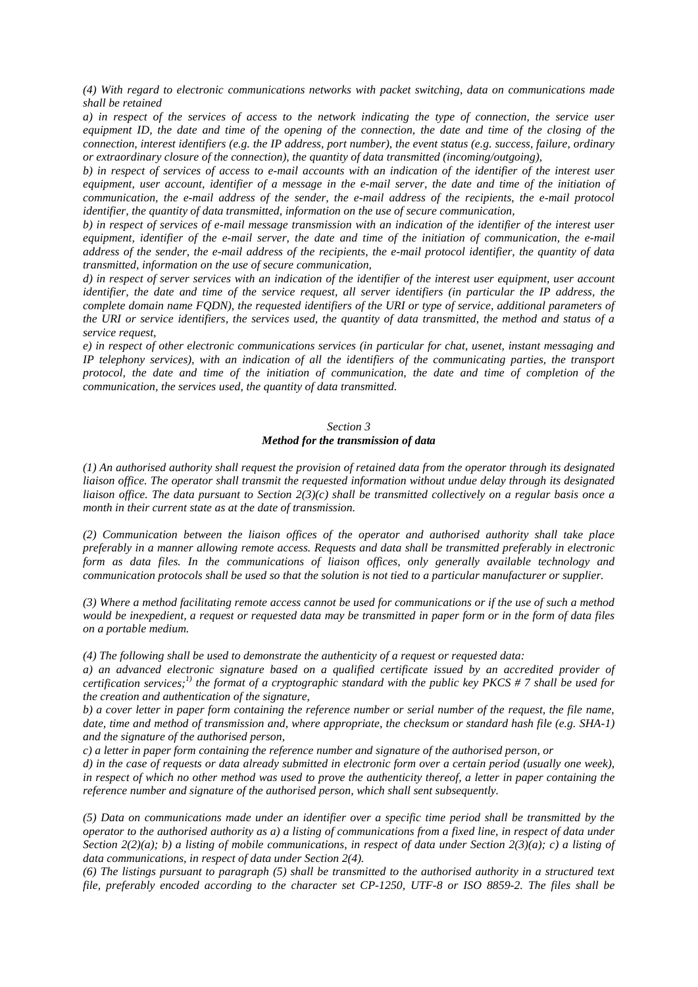*(4) With regard to electronic communications networks with packet switching, data on communications made shall be retained* 

*a) in respect of the services of access to the network indicating the type of connection, the service user equipment ID, the date and time of the opening of the connection, the date and time of the closing of the connection, interest identifiers (e.g. the IP address, port number), the event status (e.g. success, failure, ordinary or extraordinary closure of the connection), the quantity of data transmitted (incoming/outgoing),* 

*b) in respect of services of access to e-mail accounts with an indication of the identifier of the interest user*  equipment, user account, identifier of a message in the e-mail server, the date and time of the initiation of *communication, the e-mail address of the sender, the e-mail address of the recipients, the e-mail protocol identifier, the quantity of data transmitted, information on the use of secure communication,* 

*b) in respect of services of e-mail message transmission with an indication of the identifier of the interest user equipment, identifier of the e-mail server, the date and time of the initiation of communication, the e-mail address of the sender, the e-mail address of the recipients, the e-mail protocol identifier, the quantity of data transmitted, information on the use of secure communication,* 

*d) in respect of server services with an indication of the identifier of the interest user equipment, user account identifier, the date and time of the service request, all server identifiers (in particular the IP address, the complete domain name FQDN), the requested identifiers of the URI or type of service, additional parameters of the URI or service identifiers, the services used, the quantity of data transmitted, the method and status of a service request,* 

*e) in respect of other electronic communications services (in particular for chat, usenet, instant messaging and IP telephony services), with an indication of all the identifiers of the communicating parties, the transport protocol, the date and time of the initiation of communication, the date and time of completion of the communication, the services used, the quantity of data transmitted.* 

#### *Section 3*

#### *Method for the transmission of data*

*(1) An authorised authority shall request the provision of retained data from the operator through its designated liaison office. The operator shall transmit the requested information without undue delay through its designated liaison office. The data pursuant to Section 2(3)(c) shall be transmitted collectively on a regular basis once a month in their current state as at the date of transmission.* 

*(2) Communication between the liaison offices of the operator and authorised authority shall take place preferably in a manner allowing remote access. Requests and data shall be transmitted preferably in electronic form as data files. In the communications of liaison offices, only generally available technology and communication protocols shall be used so that the solution is not tied to a particular manufacturer or supplier.* 

*(3) Where a method facilitating remote access cannot be used for communications or if the use of such a method would be inexpedient, a request or requested data may be transmitted in paper form or in the form of data files on a portable medium.* 

*(4) The following shall be used to demonstrate the authenticity of a request or requested data:* 

*a) an advanced electronic signature based on a qualified certificate issued by an accredited provider of certification services;1) the format of a cryptographic standard with the public key PKCS # 7 shall be used for the creation and authentication of the signature,* 

*b) a cover letter in paper form containing the reference number or serial number of the request, the file name, date, time and method of transmission and, where appropriate, the checksum or standard hash file (e.g. SHA-1) and the signature of the authorised person,* 

*c) a letter in paper form containing the reference number and signature of the authorised person, or* 

*d) in the case of requests or data already submitted in electronic form over a certain period (usually one week), in respect of which no other method was used to prove the authenticity thereof, a letter in paper containing the reference number and signature of the authorised person, which shall sent subsequently.* 

*(5) Data on communications made under an identifier over a specific time period shall be transmitted by the operator to the authorised authority as a) a listing of communications from a fixed line, in respect of data under Section 2(2)(a); b) a listing of mobile communications, in respect of data under Section 2(3)(a); c) a listing of data communications, in respect of data under Section 2(4).* 

*(6) The listings pursuant to paragraph (5) shall be transmitted to the authorised authority in a structured text file, preferably encoded according to the character set CP-1250, UTF-8 or ISO 8859-2. The files shall be*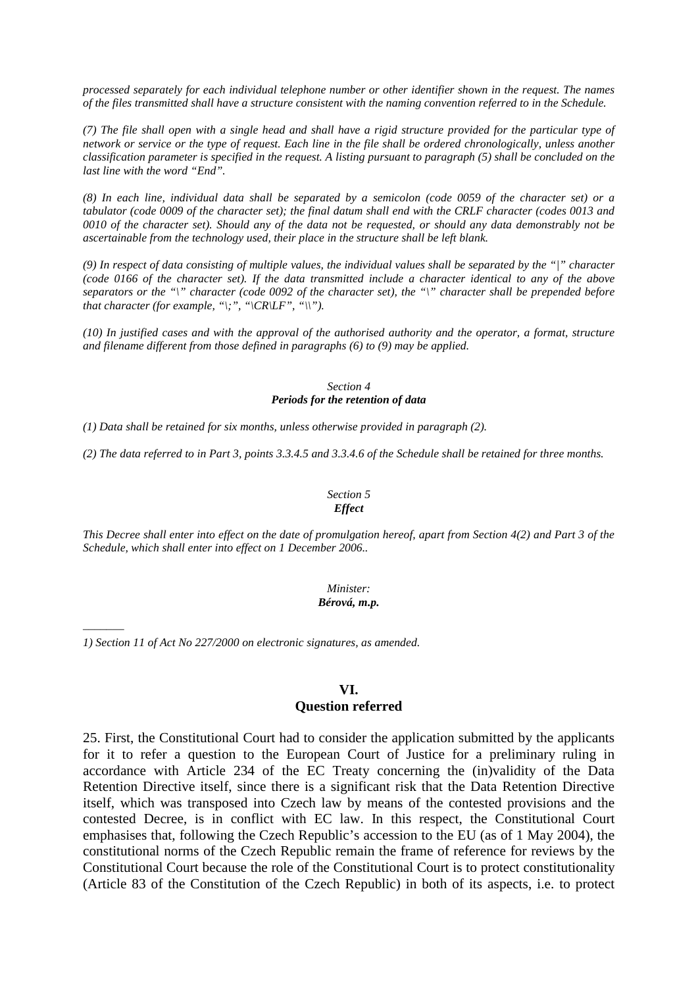*processed separately for each individual telephone number or other identifier shown in the request. The names of the files transmitted shall have a structure consistent with the naming convention referred to in the Schedule.* 

*(7) The file shall open with a single head and shall have a rigid structure provided for the particular type of network or service or the type of request. Each line in the file shall be ordered chronologically, unless another classification parameter is specified in the request. A listing pursuant to paragraph (5) shall be concluded on the last line with the word "End".* 

*(8) In each line, individual data shall be separated by a semicolon (code 0059 of the character set) or a tabulator (code 0009 of the character set); the final datum shall end with the CRLF character (codes 0013 and 0010 of the character set). Should any of the data not be requested, or should any data demonstrably not be ascertainable from the technology used, their place in the structure shall be left blank.* 

*(9) In respect of data consisting of multiple values, the individual values shall be separated by the "|" character (code 0166 of the character set). If the data transmitted include a character identical to any of the above separators or the "\" character (code 0092 of the character set), the "\" character shall be prepended before that character (for example, "\;", "\CR\LF", "\\").* 

*(10) In justified cases and with the approval of the authorised authority and the operator, a format, structure and filename different from those defined in paragraphs (6) to (9) may be applied.* 

#### *Section 4 Periods for the retention of data*

*(1) Data shall be retained for six months, unless otherwise provided in paragraph (2).* 

*(2) The data referred to in Part 3, points 3.3.4.5 and 3.3.4.6 of the Schedule shall be retained for three months.* 

### *Section 5 Effect*

*This Decree shall enter into effect on the date of promulgation hereof, apart from Section 4(2) and Part 3 of the Schedule, which shall enter into effect on 1 December 2006..* 

#### *Minister: Bérová, m.p.*

*1) Section 11 of Act No 227/2000 on electronic signatures, as amended.* 

*–––––––*

## **VI.**

#### **Question referred**

25. First, the Constitutional Court had to consider the application submitted by the applicants for it to refer a question to the European Court of Justice for a preliminary ruling in accordance with Article 234 of the EC Treaty concerning the (in)validity of the Data Retention Directive itself, since there is a significant risk that the Data Retention Directive itself, which was transposed into Czech law by means of the contested provisions and the contested Decree, is in conflict with EC law. In this respect, the Constitutional Court emphasises that, following the Czech Republic's accession to the EU (as of 1 May 2004), the constitutional norms of the Czech Republic remain the frame of reference for reviews by the Constitutional Court because the role of the Constitutional Court is to protect constitutionality (Article 83 of the Constitution of the Czech Republic) in both of its aspects, i.e. to protect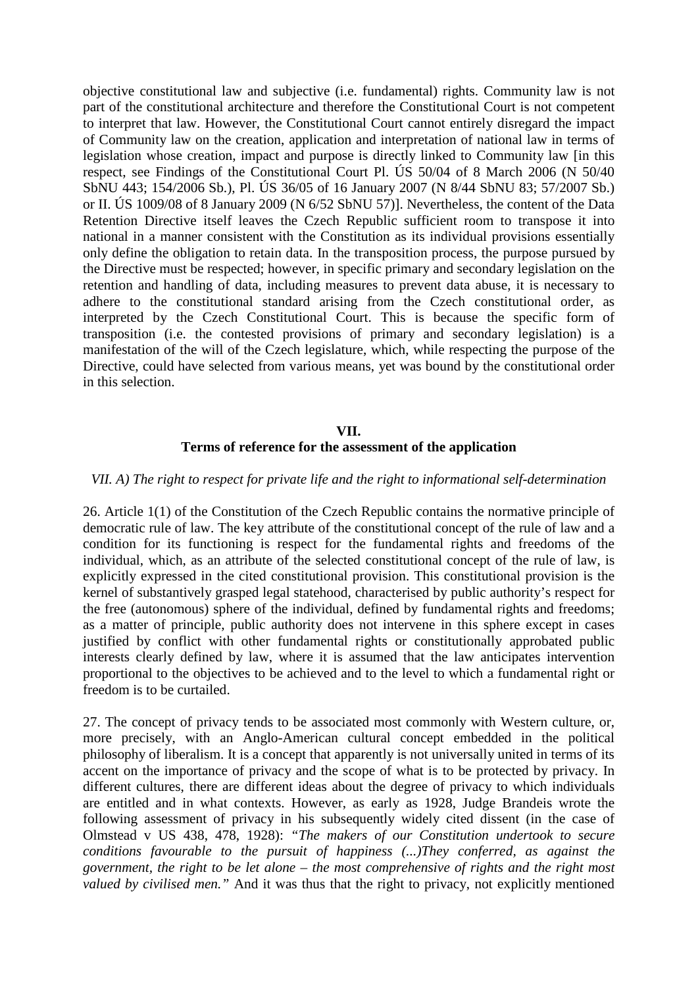objective constitutional law and subjective (i.e. fundamental) rights. Community law is not part of the constitutional architecture and therefore the Constitutional Court is not competent to interpret that law. However, the Constitutional Court cannot entirely disregard the impact of Community law on the creation, application and interpretation of national law in terms of legislation whose creation, impact and purpose is directly linked to Community law [in this respect, see Findings of the Constitutional Court Pl. ÚS 50/04 of 8 March 2006 (N 50/40 SbNU 443; 154/2006 Sb.), Pl. ÚS 36/05 of 16 January 2007 (N 8/44 SbNU 83; 57/2007 Sb.) or II. ÚS 1009/08 of 8 January 2009 (N 6/52 SbNU 57)]. Nevertheless, the content of the Data Retention Directive itself leaves the Czech Republic sufficient room to transpose it into national in a manner consistent with the Constitution as its individual provisions essentially only define the obligation to retain data. In the transposition process, the purpose pursued by the Directive must be respected; however, in specific primary and secondary legislation on the retention and handling of data, including measures to prevent data abuse, it is necessary to adhere to the constitutional standard arising from the Czech constitutional order, as interpreted by the Czech Constitutional Court. This is because the specific form of transposition (i.e. the contested provisions of primary and secondary legislation) is a manifestation of the will of the Czech legislature, which, while respecting the purpose of the Directive, could have selected from various means, yet was bound by the constitutional order in this selection.

# **VII. Terms of reference for the assessment of the application**

## *VII. A) The right to respect for private life and the right to informational self-determination*

26. Article 1(1) of the Constitution of the Czech Republic contains the normative principle of democratic rule of law. The key attribute of the constitutional concept of the rule of law and a condition for its functioning is respect for the fundamental rights and freedoms of the individual, which, as an attribute of the selected constitutional concept of the rule of law, is explicitly expressed in the cited constitutional provision. This constitutional provision is the kernel of substantively grasped legal statehood, characterised by public authority's respect for the free (autonomous) sphere of the individual, defined by fundamental rights and freedoms; as a matter of principle, public authority does not intervene in this sphere except in cases justified by conflict with other fundamental rights or constitutionally approbated public interests clearly defined by law, where it is assumed that the law anticipates intervention proportional to the objectives to be achieved and to the level to which a fundamental right or freedom is to be curtailed.

27. The concept of privacy tends to be associated most commonly with Western culture, or, more precisely, with an Anglo-American cultural concept embedded in the political philosophy of liberalism. It is a concept that apparently is not universally united in terms of its accent on the importance of privacy and the scope of what is to be protected by privacy. In different cultures, there are different ideas about the degree of privacy to which individuals are entitled and in what contexts. However, as early as 1928, Judge Brandeis wrote the following assessment of privacy in his subsequently widely cited dissent (in the case of Olmstead v US 438, 478, 1928): *"The makers of our Constitution undertook to secure conditions favourable to the pursuit of happiness (...)They conferred, as against the government, the right to be let alone – the most comprehensive of rights and the right most valued by civilised men."* And it was thus that the right to privacy, not explicitly mentioned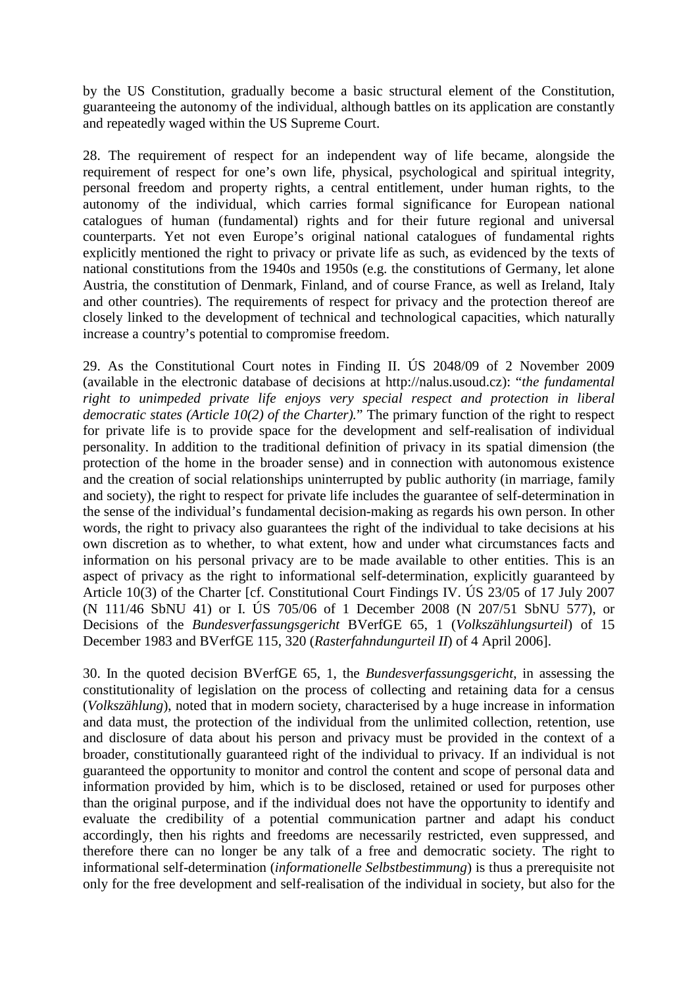by the US Constitution, gradually become a basic structural element of the Constitution, guaranteeing the autonomy of the individual, although battles on its application are constantly and repeatedly waged within the US Supreme Court.

28. The requirement of respect for an independent way of life became, alongside the requirement of respect for one's own life, physical, psychological and spiritual integrity, personal freedom and property rights, a central entitlement, under human rights, to the autonomy of the individual, which carries formal significance for European national catalogues of human (fundamental) rights and for their future regional and universal counterparts. Yet not even Europe's original national catalogues of fundamental rights explicitly mentioned the right to privacy or private life as such, as evidenced by the texts of national constitutions from the 1940s and 1950s (e.g. the constitutions of Germany, let alone Austria, the constitution of Denmark, Finland, and of course France, as well as Ireland, Italy and other countries). The requirements of respect for privacy and the protection thereof are closely linked to the development of technical and technological capacities, which naturally increase a country's potential to compromise freedom.

29. As the Constitutional Court notes in Finding II. ÚS 2048/09 of 2 November 2009 (available in the electronic database of decisions at http://nalus.usoud.cz): "*the fundamental right to unimpeded private life enjoys very special respect and protection in liberal democratic states (Article 10(2) of the Charter).*" The primary function of the right to respect for private life is to provide space for the development and self-realisation of individual personality. In addition to the traditional definition of privacy in its spatial dimension (the protection of the home in the broader sense) and in connection with autonomous existence and the creation of social relationships uninterrupted by public authority (in marriage, family and society), the right to respect for private life includes the guarantee of self-determination in the sense of the individual's fundamental decision-making as regards his own person. In other words, the right to privacy also guarantees the right of the individual to take decisions at his own discretion as to whether, to what extent, how and under what circumstances facts and information on his personal privacy are to be made available to other entities. This is an aspect of privacy as the right to informational self-determination, explicitly guaranteed by Article 10(3) of the Charter [cf. Constitutional Court Findings IV. ÚS 23/05 of 17 July 2007 (N 111/46 SbNU 41) or I. ÚS 705/06 of 1 December 2008 (N 207/51 SbNU 577), or Decisions of the *Bundesverfassungsgericht* BVerfGE 65, 1 (*Volkszählungsurteil*) of 15 December 1983 and BVerfGE 115, 320 (*Rasterfahndungurteil II*) of 4 April 2006].

30. In the quoted decision BVerfGE 65, 1, the *Bundesverfassungsgericht*, in assessing the constitutionality of legislation on the process of collecting and retaining data for a census (*Volkszählung*), noted that in modern society, characterised by a huge increase in information and data must, the protection of the individual from the unlimited collection, retention, use and disclosure of data about his person and privacy must be provided in the context of a broader, constitutionally guaranteed right of the individual to privacy. If an individual is not guaranteed the opportunity to monitor and control the content and scope of personal data and information provided by him, which is to be disclosed, retained or used for purposes other than the original purpose, and if the individual does not have the opportunity to identify and evaluate the credibility of a potential communication partner and adapt his conduct accordingly, then his rights and freedoms are necessarily restricted, even suppressed, and therefore there can no longer be any talk of a free and democratic society. The right to informational self-determination (*informationelle Selbstbestimmung*) is thus a prerequisite not only for the free development and self-realisation of the individual in society, but also for the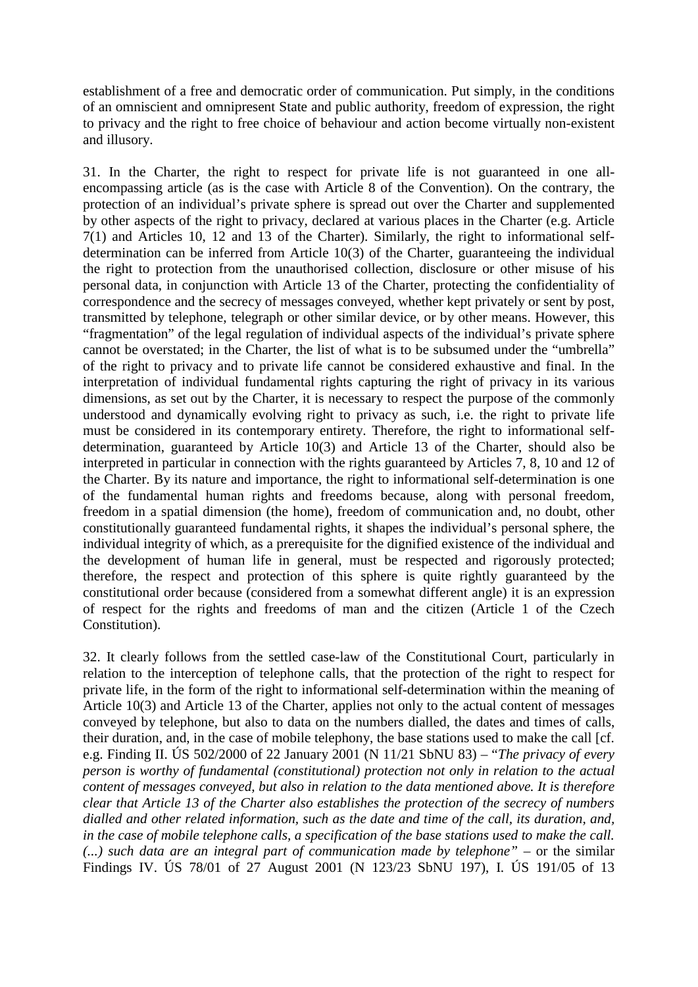establishment of a free and democratic order of communication. Put simply, in the conditions of an omniscient and omnipresent State and public authority, freedom of expression, the right to privacy and the right to free choice of behaviour and action become virtually non-existent and illusory.

31. In the Charter, the right to respect for private life is not guaranteed in one allencompassing article (as is the case with Article 8 of the Convention). On the contrary, the protection of an individual's private sphere is spread out over the Charter and supplemented by other aspects of the right to privacy, declared at various places in the Charter (e.g. Article 7(1) and Articles 10, 12 and 13 of the Charter). Similarly, the right to informational selfdetermination can be inferred from Article 10(3) of the Charter, guaranteeing the individual the right to protection from the unauthorised collection, disclosure or other misuse of his personal data, in conjunction with Article 13 of the Charter, protecting the confidentiality of correspondence and the secrecy of messages conveyed, whether kept privately or sent by post, transmitted by telephone, telegraph or other similar device, or by other means. However, this "fragmentation" of the legal regulation of individual aspects of the individual's private sphere cannot be overstated; in the Charter, the list of what is to be subsumed under the "umbrella" of the right to privacy and to private life cannot be considered exhaustive and final. In the interpretation of individual fundamental rights capturing the right of privacy in its various dimensions, as set out by the Charter, it is necessary to respect the purpose of the commonly understood and dynamically evolving right to privacy as such, i.e. the right to private life must be considered in its contemporary entirety. Therefore, the right to informational selfdetermination, guaranteed by Article 10(3) and Article 13 of the Charter, should also be interpreted in particular in connection with the rights guaranteed by Articles 7, 8, 10 and 12 of the Charter. By its nature and importance, the right to informational self-determination is one of the fundamental human rights and freedoms because, along with personal freedom, freedom in a spatial dimension (the home), freedom of communication and, no doubt, other constitutionally guaranteed fundamental rights, it shapes the individual's personal sphere, the individual integrity of which, as a prerequisite for the dignified existence of the individual and the development of human life in general, must be respected and rigorously protected; therefore, the respect and protection of this sphere is quite rightly guaranteed by the constitutional order because (considered from a somewhat different angle) it is an expression of respect for the rights and freedoms of man and the citizen (Article 1 of the Czech Constitution).

32. It clearly follows from the settled case-law of the Constitutional Court, particularly in relation to the interception of telephone calls, that the protection of the right to respect for private life, in the form of the right to informational self-determination within the meaning of Article 10(3) and Article 13 of the Charter, applies not only to the actual content of messages conveyed by telephone, but also to data on the numbers dialled, the dates and times of calls, their duration, and, in the case of mobile telephony, the base stations used to make the call [cf. e.g. Finding II. ÚS 502/2000 of 22 January 2001 (N 11/21 SbNU 83) – "*The privacy of every person is worthy of fundamental (constitutional) protection not only in relation to the actual content of messages conveyed, but also in relation to the data mentioned above. It is therefore clear that Article 13 of the Charter also establishes the protection of the secrecy of numbers dialled and other related information, such as the date and time of the call, its duration, and, in the case of mobile telephone calls, a specification of the base stations used to make the call. (...) such data are an integral part of communication made by telephone" –* or the similar Findings IV. ÚS 78/01 of 27 August 2001 (N 123/23 SbNU 197), I. ÚS 191/05 of 13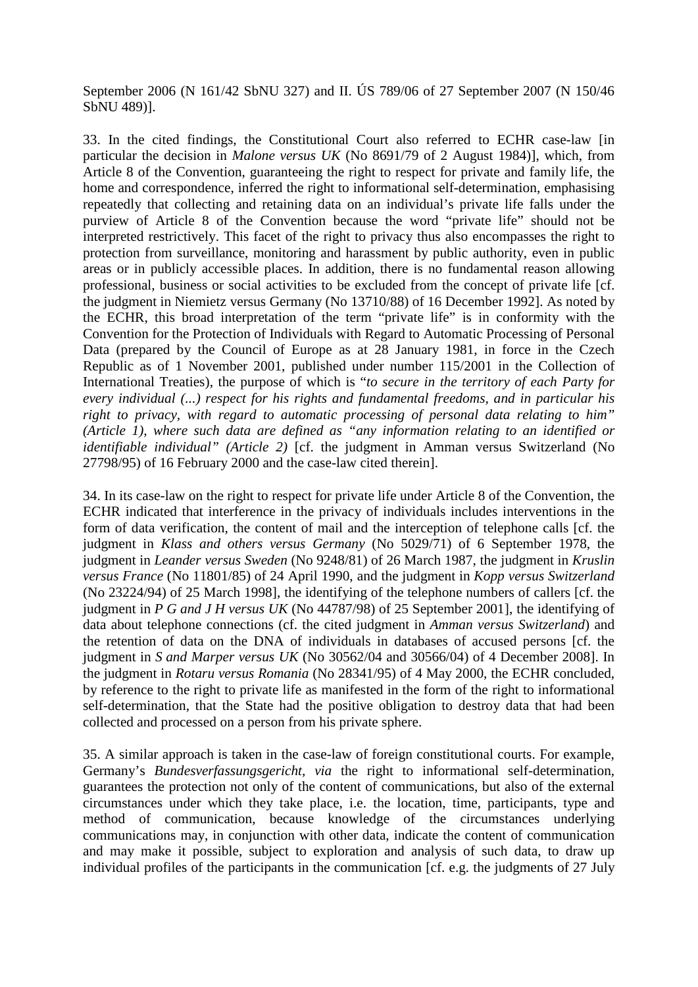September 2006 (N 161/42 SbNU 327) and II. ÚS 789/06 of 27 September 2007 (N 150/46 SbNU 489)].

33. In the cited findings, the Constitutional Court also referred to ECHR case-law [in particular the decision in *Malone versus UK* (No 8691/79 of 2 August 1984)], which, from Article 8 of the Convention, guaranteeing the right to respect for private and family life, the home and correspondence, inferred the right to informational self-determination, emphasising repeatedly that collecting and retaining data on an individual's private life falls under the purview of Article 8 of the Convention because the word "private life" should not be interpreted restrictively. This facet of the right to privacy thus also encompasses the right to protection from surveillance, monitoring and harassment by public authority, even in public areas or in publicly accessible places. In addition, there is no fundamental reason allowing professional, business or social activities to be excluded from the concept of private life [cf. the judgment in Niemietz versus Germany (No 13710/88) of 16 December 1992]. As noted by the ECHR, this broad interpretation of the term "private life" is in conformity with the Convention for the Protection of Individuals with Regard to Automatic Processing of Personal Data (prepared by the Council of Europe as at 28 January 1981, in force in the Czech Republic as of 1 November 2001, published under number 115/2001 in the Collection of International Treaties), the purpose of which is "*to secure in the territory of each Party for every individual (...) respect for his rights and fundamental freedoms, and in particular his right to privacy, with regard to automatic processing of personal data relating to him" (Article 1), where such data are defined as "any information relating to an identified or identifiable individual" (Article 2)* [cf. the judgment in Amman versus Switzerland (No 27798/95) of 16 February 2000 and the case-law cited therein].

34. In its case-law on the right to respect for private life under Article 8 of the Convention, the ECHR indicated that interference in the privacy of individuals includes interventions in the form of data verification, the content of mail and the interception of telephone calls [cf. the judgment in *Klass and others versus Germany* (No 5029/71) of 6 September 1978, the judgment in *Leander versus Sweden* (No 9248/81) of 26 March 1987, the judgment in *Kruslin versus France* (No 11801/85) of 24 April 1990, and the judgment in *Kopp versus Switzerland* (No 23224/94) of 25 March 1998], the identifying of the telephone numbers of callers [cf. the judgment in *P G and J H versus UK* (No 44787/98) of 25 September 2001], the identifying of data about telephone connections (cf. the cited judgment in *Amman versus Switzerland*) and the retention of data on the DNA of individuals in databases of accused persons [cf. the judgment in *S and Marper versus UK* (No 30562/04 and 30566/04) of 4 December 2008]. In the judgment in *Rotaru versus Romania* (No 28341/95) of 4 May 2000, the ECHR concluded, by reference to the right to private life as manifested in the form of the right to informational self-determination, that the State had the positive obligation to destroy data that had been collected and processed on a person from his private sphere.

35. A similar approach is taken in the case-law of foreign constitutional courts. For example, Germany's *Bundesverfassungsgericht, via* the right to informational self-determination, guarantees the protection not only of the content of communications, but also of the external circumstances under which they take place, i.e. the location, time, participants, type and method of communication, because knowledge of the circumstances underlying communications may, in conjunction with other data, indicate the content of communication and may make it possible, subject to exploration and analysis of such data, to draw up individual profiles of the participants in the communication [cf. e.g. the judgments of 27 July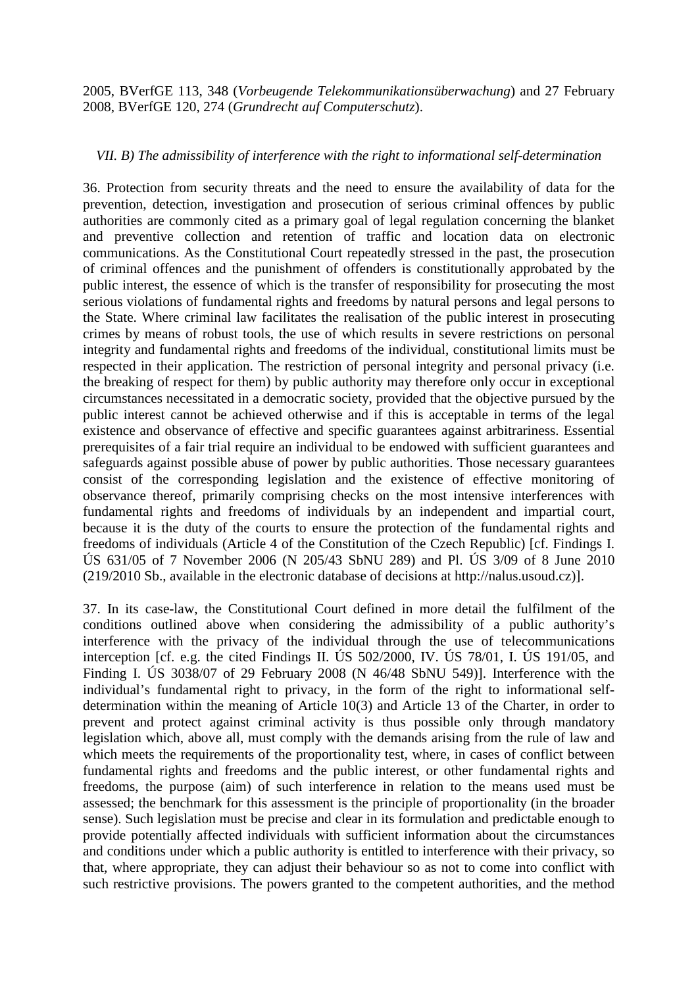2005, BVerfGE 113, 348 (*Vorbeugende Telekommunikationsüberwachung*) and 27 February 2008, BVerfGE 120, 274 (*Grundrecht auf Computerschutz*).

## *VII. B) The admissibility of interference with the right to informational self-determination*

36. Protection from security threats and the need to ensure the availability of data for the prevention, detection, investigation and prosecution of serious criminal offences by public authorities are commonly cited as a primary goal of legal regulation concerning the blanket and preventive collection and retention of traffic and location data on electronic communications. As the Constitutional Court repeatedly stressed in the past, the prosecution of criminal offences and the punishment of offenders is constitutionally approbated by the public interest, the essence of which is the transfer of responsibility for prosecuting the most serious violations of fundamental rights and freedoms by natural persons and legal persons to the State. Where criminal law facilitates the realisation of the public interest in prosecuting crimes by means of robust tools, the use of which results in severe restrictions on personal integrity and fundamental rights and freedoms of the individual, constitutional limits must be respected in their application. The restriction of personal integrity and personal privacy (i.e. the breaking of respect for them) by public authority may therefore only occur in exceptional circumstances necessitated in a democratic society, provided that the objective pursued by the public interest cannot be achieved otherwise and if this is acceptable in terms of the legal existence and observance of effective and specific guarantees against arbitrariness. Essential prerequisites of a fair trial require an individual to be endowed with sufficient guarantees and safeguards against possible abuse of power by public authorities. Those necessary guarantees consist of the corresponding legislation and the existence of effective monitoring of observance thereof, primarily comprising checks on the most intensive interferences with fundamental rights and freedoms of individuals by an independent and impartial court, because it is the duty of the courts to ensure the protection of the fundamental rights and freedoms of individuals (Article 4 of the Constitution of the Czech Republic) [cf. Findings I. ÚS 631/05 of 7 November 2006 (N 205/43 SbNU 289) and Pl. ÚS 3/09 of 8 June 2010 (219/2010 Sb., available in the electronic database of decisions at http://nalus.usoud.cz)].

37. In its case-law, the Constitutional Court defined in more detail the fulfilment of the conditions outlined above when considering the admissibility of a public authority's interference with the privacy of the individual through the use of telecommunications interception [cf. e.g. the cited Findings II. ÚS 502/2000, IV. ÚS 78/01, I. ÚS 191/05, and Finding I. ÚS 3038/07 of 29 February 2008 (N 46/48 SbNU 549)]. Interference with the individual's fundamental right to privacy, in the form of the right to informational selfdetermination within the meaning of Article 10(3) and Article 13 of the Charter, in order to prevent and protect against criminal activity is thus possible only through mandatory legislation which, above all, must comply with the demands arising from the rule of law and which meets the requirements of the proportionality test, where, in cases of conflict between fundamental rights and freedoms and the public interest, or other fundamental rights and freedoms, the purpose (aim) of such interference in relation to the means used must be assessed; the benchmark for this assessment is the principle of proportionality (in the broader sense). Such legislation must be precise and clear in its formulation and predictable enough to provide potentially affected individuals with sufficient information about the circumstances and conditions under which a public authority is entitled to interference with their privacy, so that, where appropriate, they can adjust their behaviour so as not to come into conflict with such restrictive provisions. The powers granted to the competent authorities, and the method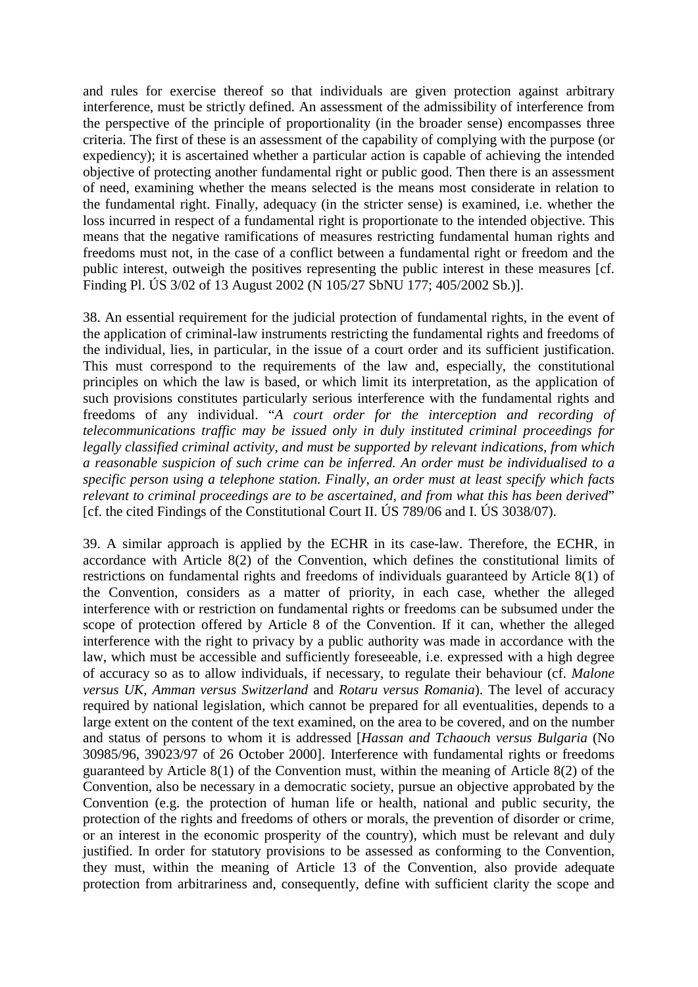and rules for exercise thereof so that individuals are given protection against arbitrary interference, must be strictly defined. An assessment of the admissibility of interference from the perspective of the principle of proportionality (in the broader sense) encompasses three criteria. The first of these is an assessment of the capability of complying with the purpose (or expediency); it is ascertained whether a particular action is capable of achieving the intended objective of protecting another fundamental right or public good. Then there is an assessment of need, examining whether the means selected is the means most considerate in relation to the fundamental right. Finally, adequacy (in the stricter sense) is examined, i.e. whether the loss incurred in respect of a fundamental right is proportionate to the intended objective. This means that the negative ramifications of measures restricting fundamental human rights and freedoms must not, in the case of a conflict between a fundamental right or freedom and the public interest, outweigh the positives representing the public interest in these measures [cf. Finding Pl. ÚS 3/02 of 13 August 2002 (N 105/27 SbNU 177; 405/2002 Sb.)].

38. An essential requirement for the judicial protection of fundamental rights, in the event of the application of criminal-law instruments restricting the fundamental rights and freedoms of the individual, lies, in particular, in the issue of a court order and its sufficient justification. This must correspond to the requirements of the law and, especially, the constitutional principles on which the law is based, or which limit its interpretation, as the application of such provisions constitutes particularly serious interference with the fundamental rights and freedoms of any individual. "*A court order for the interception and recording of telecommunications traffic may be issued only in duly instituted criminal proceedings for legally classified criminal activity, and must be supported by relevant indications, from which a reasonable suspicion of such crime can be inferred. An order must be individualised to a specific person using a telephone station. Finally, an order must at least specify which facts relevant to criminal proceedings are to be ascertained, and from what this has been derived*" [cf. the cited Findings of the Constitutional Court II. ÚS 789/06 and I. ÚS 3038/07).

39. A similar approach is applied by the ECHR in its case-law. Therefore, the ECHR, in accordance with Article 8(2) of the Convention, which defines the constitutional limits of restrictions on fundamental rights and freedoms of individuals guaranteed by Article 8(1) of the Convention, considers as a matter of priority, in each case, whether the alleged interference with or restriction on fundamental rights or freedoms can be subsumed under the scope of protection offered by Article 8 of the Convention. If it can, whether the alleged interference with the right to privacy by a public authority was made in accordance with the law, which must be accessible and sufficiently foreseeable, i.e. expressed with a high degree of accuracy so as to allow individuals, if necessary, to regulate their behaviour (cf. *Malone versus UK*, *Amman versus Switzerland* and *Rotaru versus Romania*). The level of accuracy required by national legislation, which cannot be prepared for all eventualities, depends to a large extent on the content of the text examined, on the area to be covered, and on the number and status of persons to whom it is addressed [*Hassan and Tchaouch versus Bulgaria* (No 30985/96, 39023/97 of 26 October 2000]. Interference with fundamental rights or freedoms guaranteed by Article 8(1) of the Convention must, within the meaning of Article 8(2) of the Convention, also be necessary in a democratic society, pursue an objective approbated by the Convention (e.g. the protection of human life or health, national and public security, the protection of the rights and freedoms of others or morals, the prevention of disorder or crime, or an interest in the economic prosperity of the country), which must be relevant and duly justified. In order for statutory provisions to be assessed as conforming to the Convention, they must, within the meaning of Article 13 of the Convention, also provide adequate protection from arbitrariness and, consequently, define with sufficient clarity the scope and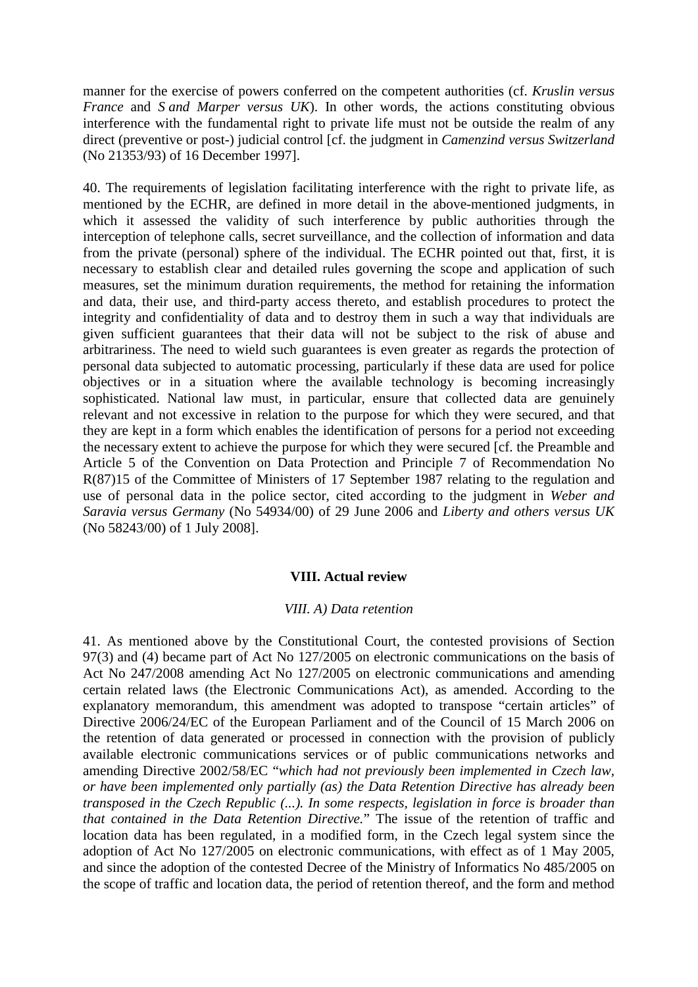manner for the exercise of powers conferred on the competent authorities (cf. *Kruslin versus France* and *S and Marper versus UK*). In other words, the actions constituting obvious interference with the fundamental right to private life must not be outside the realm of any direct (preventive or post-) judicial control [cf. the judgment in *Camenzind versus Switzerland*  (No 21353/93) of 16 December 1997].

40. The requirements of legislation facilitating interference with the right to private life, as mentioned by the ECHR, are defined in more detail in the above-mentioned judgments, in which it assessed the validity of such interference by public authorities through the interception of telephone calls, secret surveillance, and the collection of information and data from the private (personal) sphere of the individual. The ECHR pointed out that, first, it is necessary to establish clear and detailed rules governing the scope and application of such measures, set the minimum duration requirements, the method for retaining the information and data, their use, and third-party access thereto, and establish procedures to protect the integrity and confidentiality of data and to destroy them in such a way that individuals are given sufficient guarantees that their data will not be subject to the risk of abuse and arbitrariness. The need to wield such guarantees is even greater as regards the protection of personal data subjected to automatic processing, particularly if these data are used for police objectives or in a situation where the available technology is becoming increasingly sophisticated. National law must, in particular, ensure that collected data are genuinely relevant and not excessive in relation to the purpose for which they were secured, and that they are kept in a form which enables the identification of persons for a period not exceeding the necessary extent to achieve the purpose for which they were secured [cf. the Preamble and Article 5 of the Convention on Data Protection and Principle 7 of Recommendation No R(87)15 of the Committee of Ministers of 17 September 1987 relating to the regulation and use of personal data in the police sector, cited according to the judgment in *Weber and Saravia versus Germany* (No 54934/00) of 29 June 2006 and *Liberty and others versus UK* (No 58243/00) of 1 July 2008].

## **VIII. Actual review**

### *VIII. A) Data retention*

41. As mentioned above by the Constitutional Court, the contested provisions of Section 97(3) and (4) became part of Act No 127/2005 on electronic communications on the basis of Act No 247/2008 amending Act No 127/2005 on electronic communications and amending certain related laws (the Electronic Communications Act), as amended. According to the explanatory memorandum, this amendment was adopted to transpose "certain articles" of Directive 2006/24/EC of the European Parliament and of the Council of 15 March 2006 on the retention of data generated or processed in connection with the provision of publicly available electronic communications services or of public communications networks and amending Directive 2002/58/EC "*which had not previously been implemented in Czech law, or have been implemented only partially (as) the Data Retention Directive has already been transposed in the Czech Republic (...). In some respects, legislation in force is broader than that contained in the Data Retention Directive.*" The issue of the retention of traffic and location data has been regulated, in a modified form, in the Czech legal system since the adoption of Act No 127/2005 on electronic communications, with effect as of 1 May 2005, and since the adoption of the contested Decree of the Ministry of Informatics No 485/2005 on the scope of traffic and location data, the period of retention thereof, and the form and method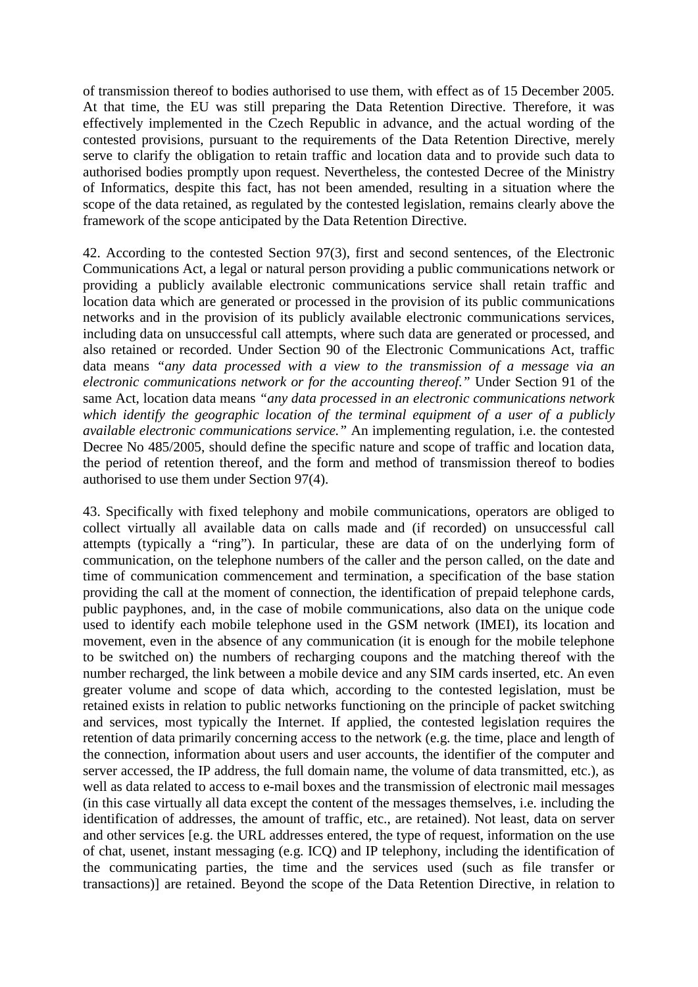of transmission thereof to bodies authorised to use them, with effect as of 15 December 2005. At that time, the EU was still preparing the Data Retention Directive. Therefore, it was effectively implemented in the Czech Republic in advance, and the actual wording of the contested provisions, pursuant to the requirements of the Data Retention Directive, merely serve to clarify the obligation to retain traffic and location data and to provide such data to authorised bodies promptly upon request. Nevertheless, the contested Decree of the Ministry of Informatics, despite this fact, has not been amended, resulting in a situation where the scope of the data retained, as regulated by the contested legislation, remains clearly above the framework of the scope anticipated by the Data Retention Directive.

42. According to the contested Section 97(3), first and second sentences, of the Electronic Communications Act, a legal or natural person providing a public communications network or providing a publicly available electronic communications service shall retain traffic and location data which are generated or processed in the provision of its public communications networks and in the provision of its publicly available electronic communications services, including data on unsuccessful call attempts, where such data are generated or processed, and also retained or recorded. Under Section 90 of the Electronic Communications Act, traffic data means *"any data processed with a view to the transmission of a message via an electronic communications network or for the accounting thereof."* Under Section 91 of the same Act, location data means *"any data processed in an electronic communications network which identify the geographic location of the terminal equipment of a user of a publicly available electronic communications service."* An implementing regulation, i.e. the contested Decree No 485/2005, should define the specific nature and scope of traffic and location data, the period of retention thereof, and the form and method of transmission thereof to bodies authorised to use them under Section 97(4).

43. Specifically with fixed telephony and mobile communications, operators are obliged to collect virtually all available data on calls made and (if recorded) on unsuccessful call attempts (typically a "ring"). In particular, these are data of on the underlying form of communication, on the telephone numbers of the caller and the person called, on the date and time of communication commencement and termination, a specification of the base station providing the call at the moment of connection, the identification of prepaid telephone cards, public payphones, and, in the case of mobile communications, also data on the unique code used to identify each mobile telephone used in the GSM network (IMEI), its location and movement, even in the absence of any communication (it is enough for the mobile telephone to be switched on) the numbers of recharging coupons and the matching thereof with the number recharged, the link between a mobile device and any SIM cards inserted, etc. An even greater volume and scope of data which, according to the contested legislation, must be retained exists in relation to public networks functioning on the principle of packet switching and services, most typically the Internet. If applied, the contested legislation requires the retention of data primarily concerning access to the network (e.g. the time, place and length of the connection, information about users and user accounts, the identifier of the computer and server accessed, the IP address, the full domain name, the volume of data transmitted, etc.), as well as data related to access to e-mail boxes and the transmission of electronic mail messages (in this case virtually all data except the content of the messages themselves, i.e. including the identification of addresses, the amount of traffic, etc., are retained). Not least, data on server and other services [e.g. the URL addresses entered, the type of request, information on the use of chat, usenet, instant messaging (e.g. ICQ) and IP telephony, including the identification of the communicating parties, the time and the services used (such as file transfer or transactions)] are retained. Beyond the scope of the Data Retention Directive, in relation to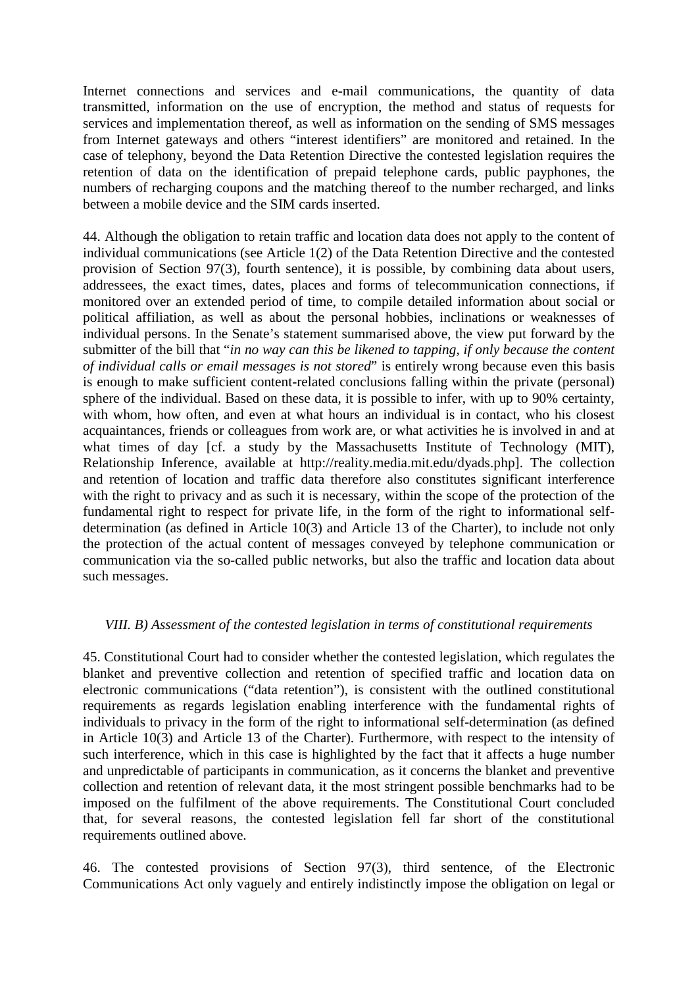Internet connections and services and e-mail communications, the quantity of data transmitted, information on the use of encryption, the method and status of requests for services and implementation thereof, as well as information on the sending of SMS messages from Internet gateways and others "interest identifiers" are monitored and retained. In the case of telephony, beyond the Data Retention Directive the contested legislation requires the retention of data on the identification of prepaid telephone cards, public payphones, the numbers of recharging coupons and the matching thereof to the number recharged, and links between a mobile device and the SIM cards inserted.

44. Although the obligation to retain traffic and location data does not apply to the content of individual communications (see Article 1(2) of the Data Retention Directive and the contested provision of Section 97(3), fourth sentence), it is possible, by combining data about users, addressees, the exact times, dates, places and forms of telecommunication connections, if monitored over an extended period of time, to compile detailed information about social or political affiliation, as well as about the personal hobbies, inclinations or weaknesses of individual persons. In the Senate's statement summarised above, the view put forward by the submitter of the bill that "*in no way can this be likened to tapping, if only because the content of individual calls or email messages is not stored*" is entirely wrong because even this basis is enough to make sufficient content-related conclusions falling within the private (personal) sphere of the individual. Based on these data, it is possible to infer, with up to 90% certainty, with whom, how often, and even at what hours an individual is in contact, who his closest acquaintances, friends or colleagues from work are, or what activities he is involved in and at what times of day [cf. a study by the Massachusetts Institute of Technology (MIT), Relationship Inference, available at http://reality.media.mit.edu/dyads.php]. The collection and retention of location and traffic data therefore also constitutes significant interference with the right to privacy and as such it is necessary, within the scope of the protection of the fundamental right to respect for private life, in the form of the right to informational selfdetermination (as defined in Article 10(3) and Article 13 of the Charter), to include not only the protection of the actual content of messages conveyed by telephone communication or communication via the so-called public networks, but also the traffic and location data about such messages.

## *VIII. B) Assessment of the contested legislation in terms of constitutional requirements*

45. Constitutional Court had to consider whether the contested legislation, which regulates the blanket and preventive collection and retention of specified traffic and location data on electronic communications ("data retention"), is consistent with the outlined constitutional requirements as regards legislation enabling interference with the fundamental rights of individuals to privacy in the form of the right to informational self-determination (as defined in Article 10(3) and Article 13 of the Charter). Furthermore, with respect to the intensity of such interference, which in this case is highlighted by the fact that it affects a huge number and unpredictable of participants in communication, as it concerns the blanket and preventive collection and retention of relevant data, it the most stringent possible benchmarks had to be imposed on the fulfilment of the above requirements. The Constitutional Court concluded that, for several reasons, the contested legislation fell far short of the constitutional requirements outlined above.

46. The contested provisions of Section 97(3), third sentence, of the Electronic Communications Act only vaguely and entirely indistinctly impose the obligation on legal or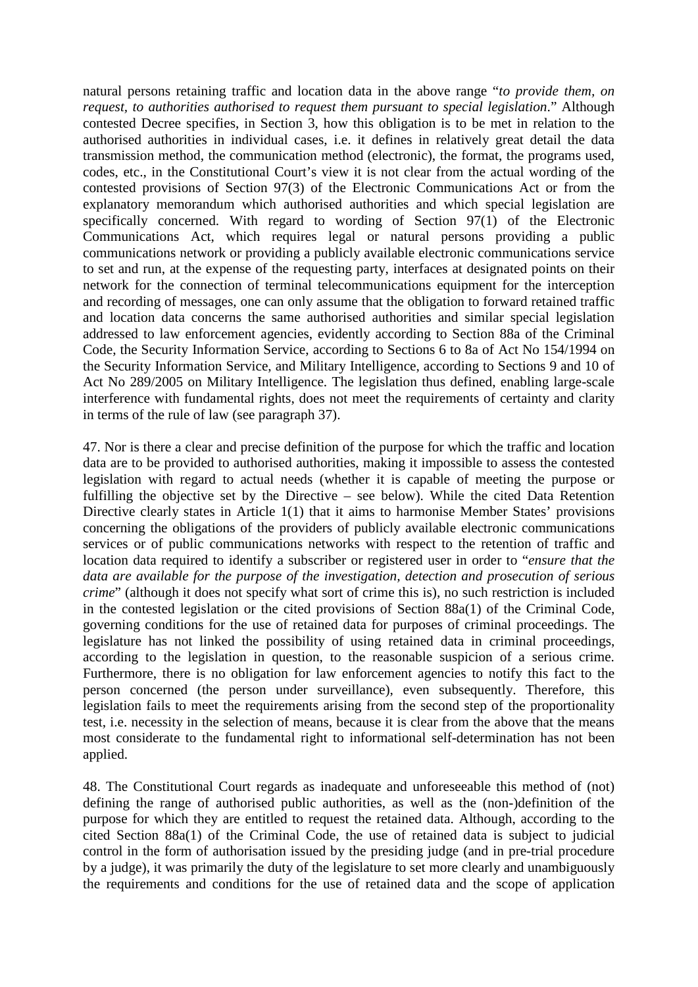natural persons retaining traffic and location data in the above range "*to provide them, on request, to authorities authorised to request them pursuant to special legislation*." Although contested Decree specifies, in Section 3, how this obligation is to be met in relation to the authorised authorities in individual cases, i.e. it defines in relatively great detail the data transmission method, the communication method (electronic), the format, the programs used, codes, etc., in the Constitutional Court's view it is not clear from the actual wording of the contested provisions of Section 97(3) of the Electronic Communications Act or from the explanatory memorandum which authorised authorities and which special legislation are specifically concerned. With regard to wording of Section 97(1) of the Electronic Communications Act, which requires legal or natural persons providing a public communications network or providing a publicly available electronic communications service to set and run, at the expense of the requesting party, interfaces at designated points on their network for the connection of terminal telecommunications equipment for the interception and recording of messages, one can only assume that the obligation to forward retained traffic and location data concerns the same authorised authorities and similar special legislation addressed to law enforcement agencies, evidently according to Section 88a of the Criminal Code, the Security Information Service, according to Sections 6 to 8a of Act No 154/1994 on the Security Information Service, and Military Intelligence, according to Sections 9 and 10 of Act No 289/2005 on Military Intelligence. The legislation thus defined, enabling large-scale interference with fundamental rights, does not meet the requirements of certainty and clarity in terms of the rule of law (see paragraph 37).

47. Nor is there a clear and precise definition of the purpose for which the traffic and location data are to be provided to authorised authorities, making it impossible to assess the contested legislation with regard to actual needs (whether it is capable of meeting the purpose or fulfilling the objective set by the Directive – see below). While the cited Data Retention Directive clearly states in Article 1(1) that it aims to harmonise Member States' provisions concerning the obligations of the providers of publicly available electronic communications services or of public communications networks with respect to the retention of traffic and location data required to identify a subscriber or registered user in order to "*ensure that the data are available for the purpose of the investigation, detection and prosecution of serious crime*" (although it does not specify what sort of crime this is), no such restriction is included in the contested legislation or the cited provisions of Section 88a(1) of the Criminal Code, governing conditions for the use of retained data for purposes of criminal proceedings. The legislature has not linked the possibility of using retained data in criminal proceedings, according to the legislation in question, to the reasonable suspicion of a serious crime. Furthermore, there is no obligation for law enforcement agencies to notify this fact to the person concerned (the person under surveillance), even subsequently. Therefore, this legislation fails to meet the requirements arising from the second step of the proportionality test, i.e. necessity in the selection of means, because it is clear from the above that the means most considerate to the fundamental right to informational self-determination has not been applied.

48. The Constitutional Court regards as inadequate and unforeseeable this method of (not) defining the range of authorised public authorities, as well as the (non-)definition of the purpose for which they are entitled to request the retained data. Although, according to the cited Section 88a(1) of the Criminal Code, the use of retained data is subject to judicial control in the form of authorisation issued by the presiding judge (and in pre-trial procedure by a judge), it was primarily the duty of the legislature to set more clearly and unambiguously the requirements and conditions for the use of retained data and the scope of application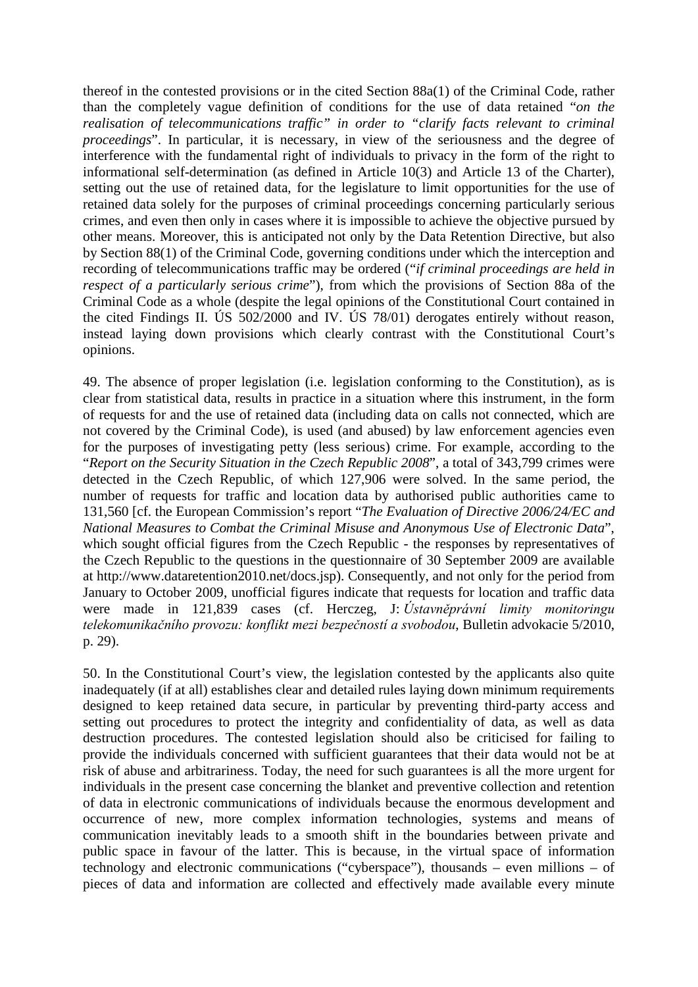thereof in the contested provisions or in the cited Section 88a(1) of the Criminal Code, rather than the completely vague definition of conditions for the use of data retained "*on the realisation of telecommunications traffic" in order to "clarify facts relevant to criminal proceedings*". In particular, it is necessary, in view of the seriousness and the degree of interference with the fundamental right of individuals to privacy in the form of the right to informational self-determination (as defined in Article 10(3) and Article 13 of the Charter), setting out the use of retained data, for the legislature to limit opportunities for the use of retained data solely for the purposes of criminal proceedings concerning particularly serious crimes, and even then only in cases where it is impossible to achieve the objective pursued by other means. Moreover, this is anticipated not only by the Data Retention Directive, but also by Section 88(1) of the Criminal Code, governing conditions under which the interception and recording of telecommunications traffic may be ordered ("*if criminal proceedings are held in respect of a particularly serious crime*"), from which the provisions of Section 88a of the Criminal Code as a whole (despite the legal opinions of the Constitutional Court contained in the cited Findings II. ÚS 502/2000 and IV. ÚS 78/01) derogates entirely without reason, instead laying down provisions which clearly contrast with the Constitutional Court's opinions.

49. The absence of proper legislation (i.e. legislation conforming to the Constitution), as is clear from statistical data, results in practice in a situation where this instrument, in the form of requests for and the use of retained data (including data on calls not connected, which are not covered by the Criminal Code), is used (and abused) by law enforcement agencies even for the purposes of investigating petty (less serious) crime. For example, according to the "*Report on the Security Situation in the Czech Republic 2008*", a total of 343,799 crimes were detected in the Czech Republic, of which 127,906 were solved. In the same period, the number of requests for traffic and location data by authorised public authorities came to 131,560 [cf. the European Commission's report "*The Evaluation of Directive 2006/24/EC and National Measures to Combat the Criminal Misuse and Anonymous Use of Electronic Data*", which sought official figures from the Czech Republic - the responses by representatives of the Czech Republic to the questions in the questionnaire of 30 September 2009 are available at http://www.dataretention2010.net/docs.jsp). Consequently, and not only for the period from January to October 2009, unofficial figures indicate that requests for location and traffic data were made in 121,839 cases (cf. Herczeg, J: *Ústavněprávní limity monitoringu telekomunikačního provozu: konflikt mezi bezpečností a svobodou*, Bulletin advokacie 5/2010, p. 29).

50. In the Constitutional Court's view, the legislation contested by the applicants also quite inadequately (if at all) establishes clear and detailed rules laying down minimum requirements designed to keep retained data secure, in particular by preventing third-party access and setting out procedures to protect the integrity and confidentiality of data, as well as data destruction procedures. The contested legislation should also be criticised for failing to provide the individuals concerned with sufficient guarantees that their data would not be at risk of abuse and arbitrariness. Today, the need for such guarantees is all the more urgent for individuals in the present case concerning the blanket and preventive collection and retention of data in electronic communications of individuals because the enormous development and occurrence of new, more complex information technologies, systems and means of communication inevitably leads to a smooth shift in the boundaries between private and public space in favour of the latter. This is because, in the virtual space of information technology and electronic communications ("cyberspace"), thousands – even millions – of pieces of data and information are collected and effectively made available every minute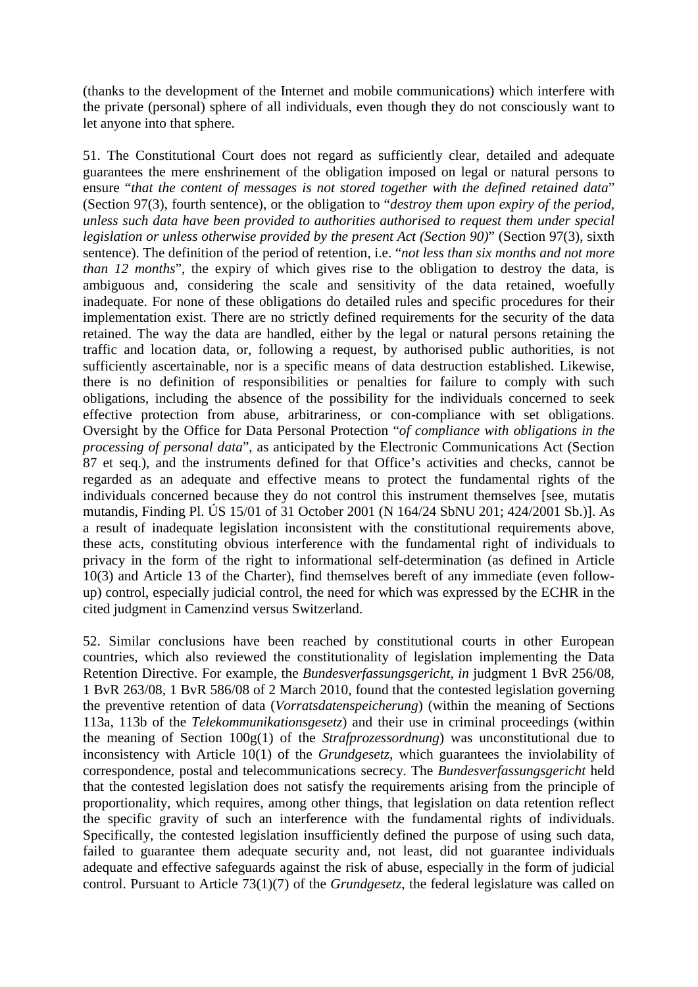(thanks to the development of the Internet and mobile communications) which interfere with the private (personal) sphere of all individuals, even though they do not consciously want to let anyone into that sphere.

51. The Constitutional Court does not regard as sufficiently clear, detailed and adequate guarantees the mere enshrinement of the obligation imposed on legal or natural persons to ensure "*that the content of messages is not stored together with the defined retained data*" (Section 97(3), fourth sentence), or the obligation to "*destroy them upon expiry of the period, unless such data have been provided to authorities authorised to request them under special legislation or unless otherwise provided by the present Act (Section 90)*" (Section 97(3), sixth sentence). The definition of the period of retention, i.e. "*not less than six months and not more than 12 months*", the expiry of which gives rise to the obligation to destroy the data, is ambiguous and, considering the scale and sensitivity of the data retained, woefully inadequate. For none of these obligations do detailed rules and specific procedures for their implementation exist. There are no strictly defined requirements for the security of the data retained. The way the data are handled, either by the legal or natural persons retaining the traffic and location data, or, following a request, by authorised public authorities, is not sufficiently ascertainable, nor is a specific means of data destruction established. Likewise, there is no definition of responsibilities or penalties for failure to comply with such obligations, including the absence of the possibility for the individuals concerned to seek effective protection from abuse, arbitrariness, or con-compliance with set obligations. Oversight by the Office for Data Personal Protection "*of compliance with obligations in the processing of personal data*", as anticipated by the Electronic Communications Act (Section 87 et seq.), and the instruments defined for that Office's activities and checks, cannot be regarded as an adequate and effective means to protect the fundamental rights of the individuals concerned because they do not control this instrument themselves [see, mutatis mutandis, Finding Pl. ÚS 15/01 of 31 October 2001 (N 164/24 SbNU 201; 424/2001 Sb.)]. As a result of inadequate legislation inconsistent with the constitutional requirements above, these acts, constituting obvious interference with the fundamental right of individuals to privacy in the form of the right to informational self-determination (as defined in Article 10(3) and Article 13 of the Charter), find themselves bereft of any immediate (even followup) control, especially judicial control, the need for which was expressed by the ECHR in the cited judgment in Camenzind versus Switzerland.

52. Similar conclusions have been reached by constitutional courts in other European countries, which also reviewed the constitutionality of legislation implementing the Data Retention Directive. For example, the *Bundesverfassungsgericht, in* judgment 1 BvR 256/08, 1 BvR 263/08, 1 BvR 586/08 of 2 March 2010, found that the contested legislation governing the preventive retention of data (*Vorratsdatenspeicherung*) (within the meaning of Sections 113a, 113b of the *Telekommunikationsgesetz*) and their use in criminal proceedings (within the meaning of Section 100g(1) of the *Strafprozessordnung*) was unconstitutional due to inconsistency with Article 10(1) of the *Grundgesetz*, which guarantees the inviolability of correspondence, postal and telecommunications secrecy. The *Bundesverfassungsgericht* held that the contested legislation does not satisfy the requirements arising from the principle of proportionality, which requires, among other things, that legislation on data retention reflect the specific gravity of such an interference with the fundamental rights of individuals. Specifically, the contested legislation insufficiently defined the purpose of using such data, failed to guarantee them adequate security and, not least, did not guarantee individuals adequate and effective safeguards against the risk of abuse, especially in the form of judicial control. Pursuant to Article 73(1)(7) of the *Grundgesetz*, the federal legislature was called on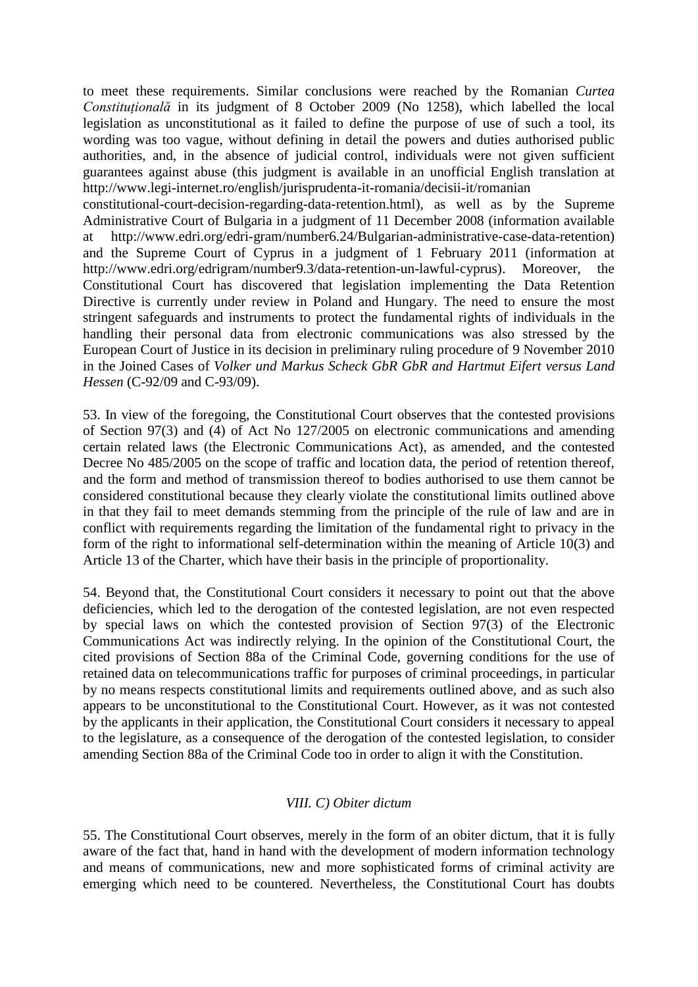to meet these requirements. Similar conclusions were reached by the Romanian *Curtea Constituţională* in its judgment of 8 October 2009 (No 1258), which labelled the local legislation as unconstitutional as it failed to define the purpose of use of such a tool, its wording was too vague, without defining in detail the powers and duties authorised public authorities, and, in the absence of judicial control, individuals were not given sufficient guarantees against abuse (this judgment is available in an unofficial English translation at http://www.legi-internet.ro/english/jurisprudenta-it-romania/decisii-it/romanian

constitutional-court-decision-regarding-data-retention.html), as well as by the Supreme Administrative Court of Bulgaria in a judgment of 11 December 2008 (information available at http://www.edri.org/edri-gram/number6.24/Bulgarian-administrative-case-data-retention) and the Supreme Court of Cyprus in a judgment of 1 February 2011 (information at http://www.edri.org/edrigram/number9.3/data-retention-un-lawful-cyprus). Moreover, the Constitutional Court has discovered that legislation implementing the Data Retention Directive is currently under review in Poland and Hungary. The need to ensure the most stringent safeguards and instruments to protect the fundamental rights of individuals in the handling their personal data from electronic communications was also stressed by the European Court of Justice in its decision in preliminary ruling procedure of 9 November 2010 in the Joined Cases of *Volker und Markus Scheck GbR GbR and Hartmut Eifert versus Land Hessen* (C-92/09 and C-93/09).

53. In view of the foregoing, the Constitutional Court observes that the contested provisions of Section 97(3) and (4) of Act No 127/2005 on electronic communications and amending certain related laws (the Electronic Communications Act), as amended, and the contested Decree No  $485/2005$  on the scope of traffic and location data, the period of retention thereof, and the form and method of transmission thereof to bodies authorised to use them cannot be considered constitutional because they clearly violate the constitutional limits outlined above in that they fail to meet demands stemming from the principle of the rule of law and are in conflict with requirements regarding the limitation of the fundamental right to privacy in the form of the right to informational self-determination within the meaning of Article 10(3) and Article 13 of the Charter, which have their basis in the principle of proportionality.

54. Beyond that, the Constitutional Court considers it necessary to point out that the above deficiencies, which led to the derogation of the contested legislation, are not even respected by special laws on which the contested provision of Section 97(3) of the Electronic Communications Act was indirectly relying. In the opinion of the Constitutional Court, the cited provisions of Section 88a of the Criminal Code, governing conditions for the use of retained data on telecommunications traffic for purposes of criminal proceedings, in particular by no means respects constitutional limits and requirements outlined above, and as such also appears to be unconstitutional to the Constitutional Court. However, as it was not contested by the applicants in their application, the Constitutional Court considers it necessary to appeal to the legislature, as a consequence of the derogation of the contested legislation, to consider amending Section 88a of the Criminal Code too in order to align it with the Constitution.

# *VIII. C) Obiter dictum*

55. The Constitutional Court observes, merely in the form of an obiter dictum, that it is fully aware of the fact that, hand in hand with the development of modern information technology and means of communications, new and more sophisticated forms of criminal activity are emerging which need to be countered. Nevertheless, the Constitutional Court has doubts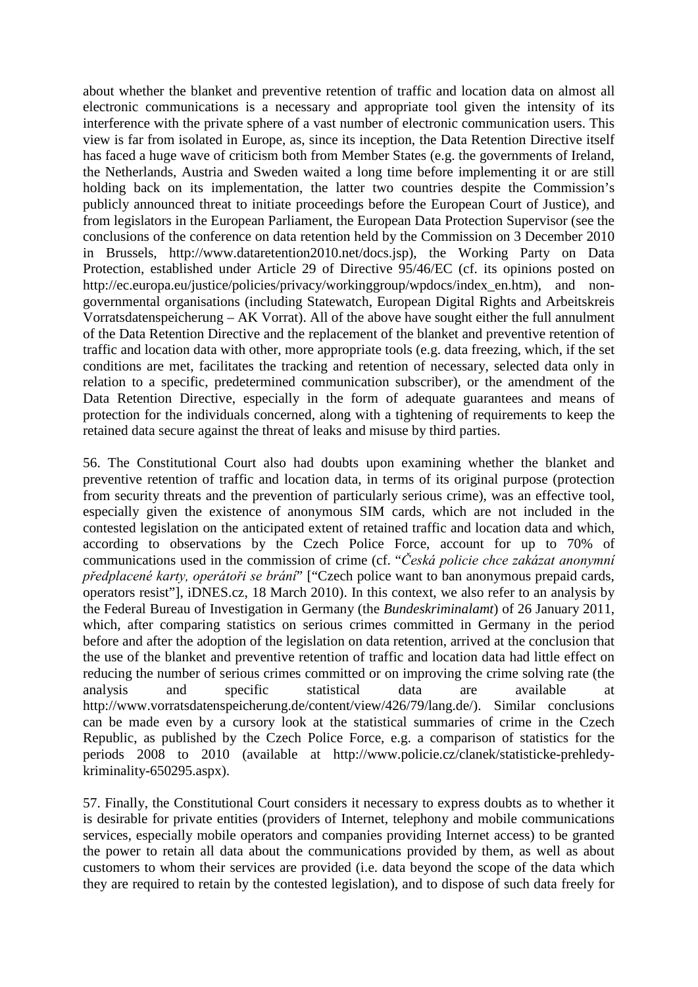about whether the blanket and preventive retention of traffic and location data on almost all electronic communications is a necessary and appropriate tool given the intensity of its interference with the private sphere of a vast number of electronic communication users. This view is far from isolated in Europe, as, since its inception, the Data Retention Directive itself has faced a huge wave of criticism both from Member States (e.g. the governments of Ireland, the Netherlands, Austria and Sweden waited a long time before implementing it or are still holding back on its implementation, the latter two countries despite the Commission's publicly announced threat to initiate proceedings before the European Court of Justice), and from legislators in the European Parliament, the European Data Protection Supervisor (see the conclusions of the conference on data retention held by the Commission on 3 December 2010 in Brussels, http://www.dataretention2010.net/docs.jsp), the Working Party on Data Protection, established under Article 29 of Directive 95/46/EC (cf. its opinions posted on http://ec.europa.eu/justice/policies/privacy/workinggroup/wpdocs/index\_en.htm), and nongovernmental organisations (including Statewatch, European Digital Rights and Arbeitskreis Vorratsdatenspeicherung – AK Vorrat). All of the above have sought either the full annulment of the Data Retention Directive and the replacement of the blanket and preventive retention of traffic and location data with other, more appropriate tools (e.g. data freezing, which, if the set conditions are met, facilitates the tracking and retention of necessary, selected data only in relation to a specific, predetermined communication subscriber), or the amendment of the Data Retention Directive, especially in the form of adequate guarantees and means of protection for the individuals concerned, along with a tightening of requirements to keep the retained data secure against the threat of leaks and misuse by third parties.

56. The Constitutional Court also had doubts upon examining whether the blanket and preventive retention of traffic and location data, in terms of its original purpose (protection from security threats and the prevention of particularly serious crime), was an effective tool, especially given the existence of anonymous SIM cards, which are not included in the contested legislation on the anticipated extent of retained traffic and location data and which, according to observations by the Czech Police Force, account for up to 70% of communications used in the commission of crime (cf. "*Česká policie chce zakázat anonymní předplacené karty, operátoři se brání*" ["Czech police want to ban anonymous prepaid cards, operators resist"], iDNES.cz, 18 March 2010). In this context, we also refer to an analysis by the Federal Bureau of Investigation in Germany (the *Bundeskriminalamt*) of 26 January 2011, which, after comparing statistics on serious crimes committed in Germany in the period before and after the adoption of the legislation on data retention, arrived at the conclusion that the use of the blanket and preventive retention of traffic and location data had little effect on reducing the number of serious crimes committed or on improving the crime solving rate (the analysis and specific statistical data are available at http://www.vorratsdatenspeicherung.de/content/view/426/79/lang.de/). Similar conclusions can be made even by a cursory look at the statistical summaries of crime in the Czech Republic, as published by the Czech Police Force, e.g. a comparison of statistics for the periods 2008 to 2010 (available at http://www.policie.cz/clanek/statisticke-prehledykriminality-650295.aspx).

57. Finally, the Constitutional Court considers it necessary to express doubts as to whether it is desirable for private entities (providers of Internet, telephony and mobile communications services, especially mobile operators and companies providing Internet access) to be granted the power to retain all data about the communications provided by them, as well as about customers to whom their services are provided (i.e. data beyond the scope of the data which they are required to retain by the contested legislation), and to dispose of such data freely for